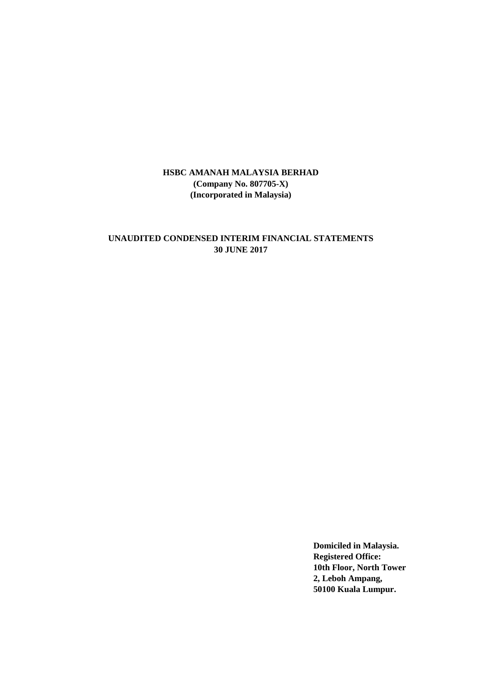## **UNAUDITED CONDENSED INTERIM FINANCIAL STATEMENTS 30 JUNE 2017**

**Domiciled in Malaysia. Registered Office: 10th Floor, North Tower 2, Leboh Ampang, 50100 Kuala Lumpur.**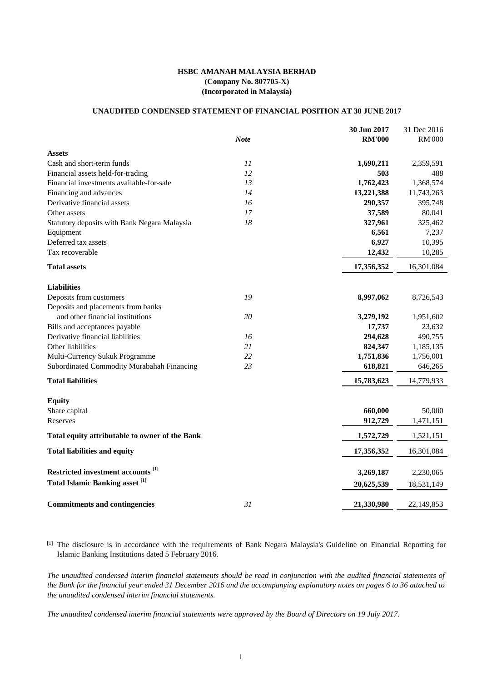## **UNAUDITED CONDENSED STATEMENT OF FINANCIAL POSITION AT 30 JUNE 2017**

|                                                   |             | 30 Jun 2017   | 31 Dec 2016   |
|---------------------------------------------------|-------------|---------------|---------------|
|                                                   | <b>Note</b> | <b>RM'000</b> | <b>RM'000</b> |
| <b>Assets</b>                                     |             |               |               |
| Cash and short-term funds                         | 11          | 1,690,211     | 2,359,591     |
| Financial assets held-for-trading                 | 12          | 503           | 488           |
| Financial investments available-for-sale          | 13          | 1,762,423     | 1,368,574     |
| Financing and advances                            | 14          | 13,221,388    | 11,743,263    |
| Derivative financial assets                       | 16          | 290,357       | 395,748       |
| Other assets                                      | 17          | 37,589        | 80,041        |
| Statutory deposits with Bank Negara Malaysia      | 18          | 327,961       | 325,462       |
| Equipment                                         |             | 6,561         | 7,237         |
| Deferred tax assets                               |             | 6,927         | 10,395        |
| Tax recoverable                                   |             | 12,432        | 10,285        |
| <b>Total assets</b>                               |             | 17,356,352    | 16,301,084    |
| <b>Liabilities</b>                                |             |               |               |
| Deposits from customers                           | 19          | 8,997,062     | 8,726,543     |
| Deposits and placements from banks                |             |               |               |
| and other financial institutions                  | 20          | 3,279,192     | 1,951,602     |
| Bills and acceptances payable                     |             | 17,737        | 23,632        |
| Derivative financial liabilities                  | 16          | 294,628       | 490,755       |
| Other liabilities                                 | 21          | 824,347       | 1,185,135     |
| Multi-Currency Sukuk Programme                    | 22          | 1,751,836     | 1,756,001     |
| Subordinated Commodity Murabahah Financing        | 23          | 618,821       | 646,265       |
| <b>Total liabilities</b>                          |             | 15,783,623    | 14,779,933    |
| <b>Equity</b>                                     |             |               |               |
| Share capital                                     |             | 660,000       | 50,000        |
| Reserves                                          |             | 912,729       | 1,471,151     |
| Total equity attributable to owner of the Bank    |             | 1,572,729     | 1,521,151     |
| <b>Total liabilities and equity</b>               |             | 17,356,352    | 16,301,084    |
| Restricted investment accounts <sup>[1]</sup>     |             | 3,269,187     | 2,230,065     |
| <b>Total Islamic Banking asset</b> <sup>[1]</sup> |             |               |               |
|                                                   |             | 20,625,539    | 18,531,149    |
| <b>Commitments and contingencies</b>              | 31          | 21,330,980    | 22,149,853    |

[1] The disclosure is in accordance with the requirements of Bank Negara Malaysia's Guideline on Financial Reporting for Islamic Banking Institutions dated 5 February 2016.

*The unaudited condensed interim financial statements should be read in conjunction with the audited financial statements of the Bank for the financial year ended 31 December 2016 and the accompanying explanatory notes on pages 6 to 36 attached to the unaudited condensed interim financial statements.*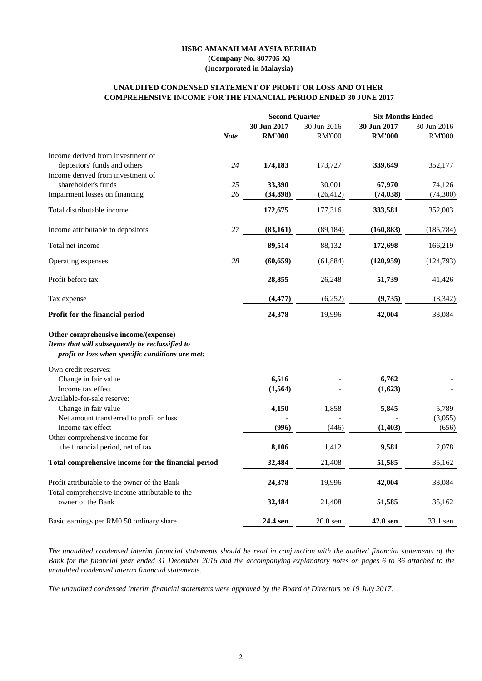## **COMPREHENSIVE INCOME FOR THE FINANCIAL PERIOD ENDED 30 JUNE 2017 UNAUDITED CONDENSED STATEMENT OF PROFIT OR LOSS AND OTHER**

|                                                                                                                                             |             | <b>Second Quarter</b> |               | <b>Six Months Ended</b> |               |  |
|---------------------------------------------------------------------------------------------------------------------------------------------|-------------|-----------------------|---------------|-------------------------|---------------|--|
|                                                                                                                                             |             | 30 Jun 2017           | 30 Jun 2016   | 30 Jun 2017             | 30 Jun 2016   |  |
|                                                                                                                                             | <b>Note</b> | <b>RM'000</b>         | <b>RM'000</b> | <b>RM'000</b>           | <b>RM'000</b> |  |
| Income derived from investment of                                                                                                           |             |                       |               |                         |               |  |
| depositors' funds and others                                                                                                                | 24          | 174,183               | 173,727       | 339,649                 | 352,177       |  |
| Income derived from investment of                                                                                                           |             |                       |               |                         |               |  |
| shareholder's funds                                                                                                                         | 25          | 33,390                | 30,001        | 67,970                  | 74,126        |  |
| Impairment losses on financing                                                                                                              | 26          | (34, 898)             | (26, 412)     | (74, 038)               | (74, 300)     |  |
| Total distributable income                                                                                                                  |             | 172,675               | 177,316       | 333,581                 | 352,003       |  |
| Income attributable to depositors                                                                                                           | $27\,$      | (83, 161)             | (89, 184)     | (160, 883)              | (185, 784)    |  |
| Total net income                                                                                                                            |             | 89,514                | 88,132        | 172,698                 | 166,219       |  |
| Operating expenses                                                                                                                          | 28          | (60, 659)             | (61, 884)     | (120, 959)              | (124, 793)    |  |
| Profit before tax                                                                                                                           |             | 28,855                | 26,248        | 51,739                  | 41,426        |  |
|                                                                                                                                             |             |                       |               |                         |               |  |
| Tax expense                                                                                                                                 |             | (4, 477)              | (6,252)       | (9,735)                 | (8, 342)      |  |
| Profit for the financial period                                                                                                             |             | 24,378                | 19,996        | 42,004                  | 33,084        |  |
| Other comprehensive income/(expense)<br>Items that will subsequently be reclassified to<br>profit or loss when specific conditions are met: |             |                       |               |                         |               |  |
| Own credit reserves:                                                                                                                        |             |                       |               |                         |               |  |
| Change in fair value                                                                                                                        |             | 6,516                 |               | 6,762                   |               |  |
| Income tax effect                                                                                                                           |             | (1, 564)              |               | (1,623)                 |               |  |
| Available-for-sale reserve:                                                                                                                 |             |                       |               |                         |               |  |
| Change in fair value                                                                                                                        |             | 4,150                 | 1,858         | 5,845                   | 5,789         |  |
| Net amount transferred to profit or loss                                                                                                    |             |                       |               |                         | (3,055)       |  |
| Income tax effect                                                                                                                           |             | (996)                 | (446)         | (1, 403)                | (656)         |  |
| Other comprehensive income for                                                                                                              |             |                       |               |                         |               |  |
| the financial period, net of tax                                                                                                            |             | 8,106                 | 1,412         | 9,581                   | 2,078         |  |
| Total comprehensive income for the financial period                                                                                         |             | 32,484                | 21,408        | 51,585                  | 35,162        |  |
| Profit attributable to the owner of the Bank                                                                                                |             | 24,378                | 19,996        | 42,004                  | 33,084        |  |
| Total comprehensive income attributable to the                                                                                              |             |                       |               |                         |               |  |
| owner of the Bank                                                                                                                           |             | 32,484                | 21,408        | 51,585                  | 35,162        |  |
| Basic earnings per RM0.50 ordinary share                                                                                                    |             | 24.4 sen              | $20.0$ sen    | 42.0 sen                | 33.1 sen      |  |

*The unaudited condensed interim financial statements should be read in conjunction with the audited financial statements of the Bank for the financial year ended 31 December 2016 and the accompanying explanatory notes on pages 6 to 36 attached to the unaudited condensed interim financial statements.*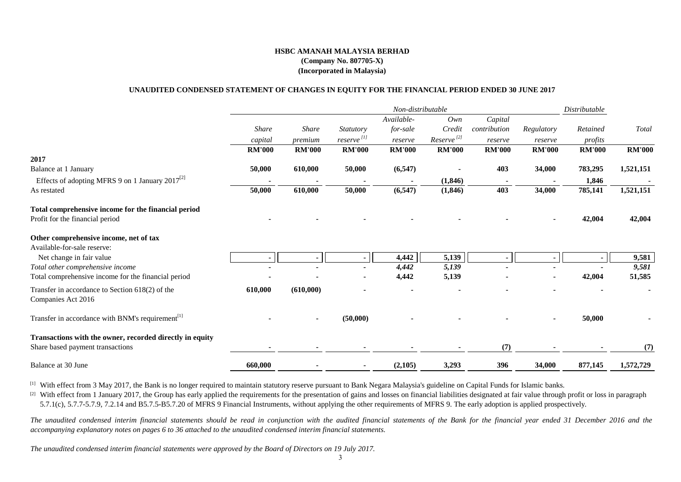#### **UNAUDITED CONDENSED STATEMENT OF CHANGES IN EQUITY FOR THE FINANCIAL PERIOD ENDED 30 JUNE 2017**

|                                                                         | Non-distributable |                |                          |               |                        |               | Distributable |               |               |
|-------------------------------------------------------------------------|-------------------|----------------|--------------------------|---------------|------------------------|---------------|---------------|---------------|---------------|
|                                                                         |                   |                |                          | Available-    | Own                    | Capital       |               |               |               |
|                                                                         | <b>Share</b>      | <b>Share</b>   | Statutory                | for-sale      | Credit                 | contribution  | Regulatory    | Retained      | Total         |
|                                                                         | capital           | premium        | $reserve$ <sup>[1]</sup> | reserve       | Reserve <sup>[2]</sup> | reserve       | reserve       | profits       |               |
|                                                                         | <b>RM'000</b>     | <b>RM'000</b>  | <b>RM'000</b>            | <b>RM'000</b> | <b>RM'000</b>          | <b>RM'000</b> | <b>RM'000</b> | <b>RM'000</b> | <b>RM'000</b> |
| 2017                                                                    |                   |                |                          |               |                        |               |               |               |               |
| Balance at 1 January                                                    | 50,000            | 610,000        | 50,000                   | (6, 547)      |                        | 403           | 34,000        | 783,295       | 1,521,151     |
| Effects of adopting MFRS 9 on 1 January 2017 <sup>[2]</sup>             |                   |                |                          |               | (1, 846)               |               |               | 1,846         |               |
| As restated                                                             | 50,000            | 610,000        | 50,000                   | (6, 547)      | (1, 846)               | 403           | 34,000        | 785,141       | 1,521,151     |
| Total comprehensive income for the financial period                     |                   |                |                          |               |                        |               |               |               |               |
| Profit for the financial period                                         |                   |                |                          |               |                        |               |               | 42,004        | 42,004        |
| Other comprehensive income, net of tax                                  |                   |                |                          |               |                        |               |               |               |               |
| Available-for-sale reserve:                                             |                   |                |                          |               |                        |               |               |               |               |
| Net change in fair value                                                |                   |                |                          | 4,442         | 5,139                  |               |               |               | 9,581         |
| Total other comprehensive income                                        |                   |                |                          | 4,442         | 5,139                  |               |               |               | 9,581         |
| Total comprehensive income for the financial period                     |                   |                |                          | 4,442         | 5,139                  |               |               | 42,004        | 51,585        |
| Transfer in accordance to Section $618(2)$ of the<br>Companies Act 2016 | 610,000           | (610,000)      |                          |               |                        |               |               |               |               |
| Transfer in accordance with BNM's requirement <sup>[1]</sup>            |                   | $\blacksquare$ | (50,000)                 |               |                        |               |               | 50,000        |               |
| Transactions with the owner, recorded directly in equity                |                   |                |                          |               |                        |               |               |               |               |
| Share based payment transactions                                        |                   | $\blacksquare$ |                          |               |                        | (7)           |               |               | (7)           |
| Balance at 30 June                                                      | 660,000           |                |                          | (2,105)       | 3,293                  | 396           | 34,000        | 877,145       | 1,572,729     |

<sup>[1]</sup> With effect from 3 May 2017, the Bank is no longer required to maintain statutory reserve pursuant to Bank Negara Malaysia's guideline on Capital Funds for Islamic banks.

<sup>[2]</sup> With effect from 1 January 2017, the Group has early applied the requirements for the presentation of gains and losses on financial liabilities designated at fair value through profit or loss in paragraph 5.7.1(c), 5.7.7-5.7.9, 7.2.14 and B5.7.5-B5.7.20 of MFRS 9 Financial Instruments, without applying the other requirements of MFRS 9. The early adoption is applied prospectively.

*The unaudited condensed interim financial statements should be read in conjunction with the audited financial statements of the Bank for the financial year ended 31 December 2016 and the accompanying explanatory notes on pages 6 to 36 attached to the unaudited condensed interim financial statements.*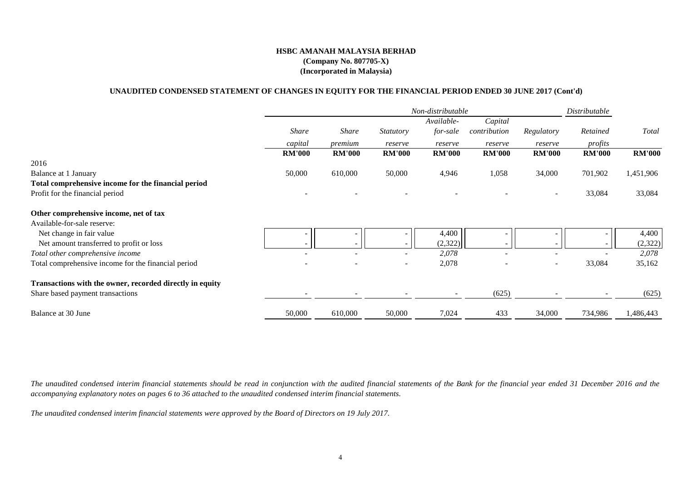### **UNAUDITED CONDENSED STATEMENT OF CHANGES IN EQUITY FOR THE FINANCIAL PERIOD ENDED 30 JUNE 2017 (Cont'd)**

|                                                          |               |                          |                          | Non-distributable        |                          |                          | Distributable         |               |
|----------------------------------------------------------|---------------|--------------------------|--------------------------|--------------------------|--------------------------|--------------------------|-----------------------|---------------|
|                                                          |               |                          |                          | Available-               | Capital                  |                          |                       |               |
|                                                          | <b>Share</b>  | <i>Share</i>             | <i>Statutory</i>         | for-sale                 | contribution             | Regulatory               | Retained              | Total         |
|                                                          | capital       | premium                  | reserve                  | reserve                  | reserve                  | reserve                  | profits               |               |
|                                                          | <b>RM'000</b> | <b>RM'000</b>            | <b>RM'000</b>            | <b>RM'000</b>            | <b>RM'000</b>            | <b>RM'000</b>            | <b>RM'000</b>         | <b>RM'000</b> |
| 2016                                                     |               |                          |                          |                          |                          |                          |                       |               |
| Balance at 1 January                                     | 50,000        | 610,000                  | 50,000                   | 4,946                    | 1,058                    | 34,000                   | 701,902               | 1,451,906     |
| Total comprehensive income for the financial period      |               |                          |                          |                          |                          |                          |                       |               |
| Profit for the financial period                          |               |                          |                          |                          |                          | $\overline{\phantom{a}}$ | 33,084                | 33,084        |
| Other comprehensive income, net of tax                   |               |                          |                          |                          |                          |                          |                       |               |
| Available-for-sale reserve:                              |               |                          |                          |                          |                          |                          |                       |               |
| Net change in fair value                                 |               |                          |                          | 4,400                    |                          |                          |                       | 4,400         |
| Net amount transferred to profit or loss                 |               |                          |                          | (2, 322)                 |                          |                          |                       | (2,322)       |
| Total other comprehensive income                         |               | $\overline{\phantom{a}}$ | $\overline{\phantom{a}}$ | 2,078                    | $\overline{\phantom{a}}$ | $\overline{\phantom{a}}$ | $\tilde{\phantom{a}}$ | 2,078         |
| Total comprehensive income for the financial period      |               |                          |                          | 2,078                    |                          | $\overline{\phantom{a}}$ | 33,084                | 35,162        |
| Transactions with the owner, recorded directly in equity |               |                          |                          |                          |                          |                          |                       |               |
| Share based payment transactions                         |               |                          |                          | $\overline{\phantom{a}}$ | (625)                    |                          |                       | (625)         |
| Balance at 30 June                                       | 50,000        | 610,000                  | 50,000                   | 7,024                    | 433                      | 34,000                   | 734,986               | 1,486,443     |

*The unaudited condensed interim financial statements should be read in conjunction with the audited financial statements of the Bank for the financial year ended 31 December 2016 and the accompanying explanatory notes on pages 6 to 36 attached to the unaudited condensed interim financial statements.*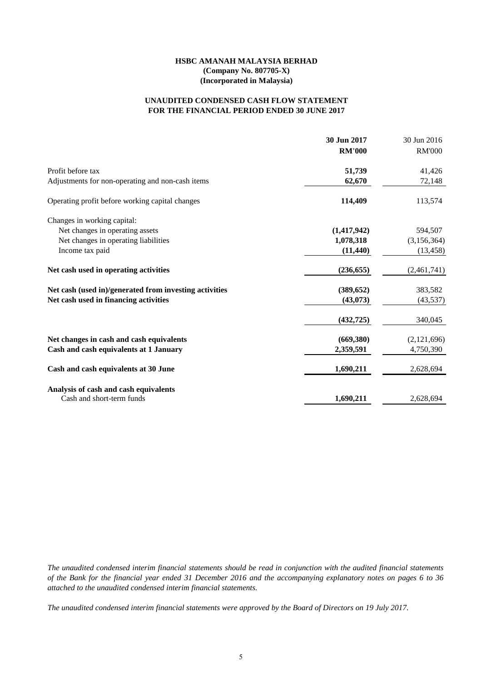### **FOR THE FINANCIAL PERIOD ENDED 30 JUNE 2017 UNAUDITED CONDENSED CASH FLOW STATEMENT**

|                                                        | 30 Jun 2017   | 30 Jun 2016   |
|--------------------------------------------------------|---------------|---------------|
|                                                        | <b>RM'000</b> | <b>RM'000</b> |
| Profit before tax                                      | 51,739        | 41,426        |
| Adjustments for non-operating and non-cash items       | 62,670        | 72,148        |
| Operating profit before working capital changes        | 114,409       | 113,574       |
| Changes in working capital:                            |               |               |
| Net changes in operating assets                        | (1, 417, 942) | 594,507       |
| Net changes in operating liabilities                   | 1,078,318     | (3,156,364)   |
| Income tax paid                                        | (11, 440)     | (13, 458)     |
| Net cash used in operating activities                  | (236, 655)    | (2,461,741)   |
| Net cash (used in)/generated from investing activities | (389, 652)    | 383,582       |
| Net cash used in financing activities                  | (43,073)      | (43, 537)     |
|                                                        | (432, 725)    | 340,045       |
| Net changes in cash and cash equivalents               | (669, 380)    | (2,121,696)   |
| Cash and cash equivalents at 1 January                 | 2,359,591     | 4,750,390     |
| Cash and cash equivalents at 30 June                   | 1,690,211     | 2,628,694     |
| Analysis of cash and cash equivalents                  |               |               |
| Cash and short-term funds                              | 1,690,211     | 2,628,694     |

*The unaudited condensed interim financial statements should be read in conjunction with the audited financial statements of the Bank for the financial year ended 31 December 2016 and the accompanying explanatory notes on pages 6 to 36 attached to the unaudited condensed interim financial statements.*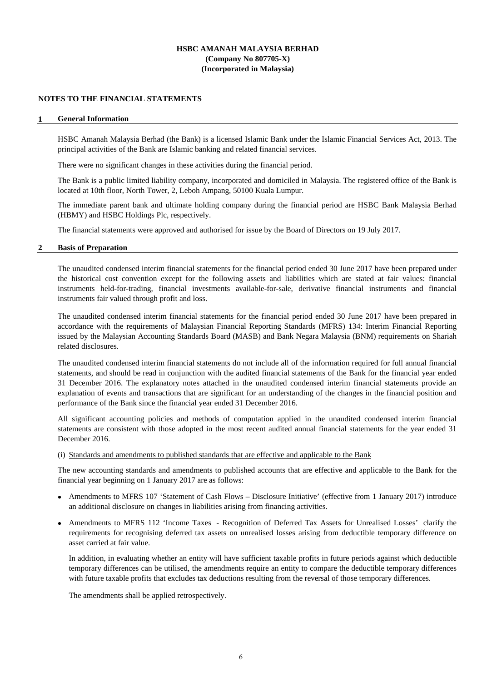#### **NOTES TO THE FINANCIAL STATEMENTS**

#### **1 General Information**

HSBC Amanah Malaysia Berhad (the Bank) is a licensed Islamic Bank under the Islamic Financial Services Act, 2013. The principal activities of the Bank are Islamic banking and related financial services.

There were no significant changes in these activities during the financial period.

The Bank is a public limited liability company, incorporated and domiciled in Malaysia. The registered office of the Bank is located at 10th floor, North Tower, 2, Leboh Ampang, 50100 Kuala Lumpur.

The immediate parent bank and ultimate holding company during the financial period are HSBC Bank Malaysia Berhad (HBMY) and HSBC Holdings Plc, respectively.

The financial statements were approved and authorised for issue by the Board of Directors on 19 July 2017.

#### **2 Basis of Preparation**

The unaudited condensed interim financial statements for the financial period ended 30 June 2017 have been prepared under the historical cost convention except for the following assets and liabilities which are stated at fair values: financial instruments held-for-trading, financial investments available-for-sale, derivative financial instruments and financial instruments fair valued through profit and loss.

The unaudited condensed interim financial statements for the financial period ended 30 June 2017 have been prepared in accordance with the requirements of Malaysian Financial Reporting Standards (MFRS) 134: Interim Financial Reporting issued by the Malaysian Accounting Standards Board (MASB) and Bank Negara Malaysia (BNM) requirements on Shariah related disclosures.

The unaudited condensed interim financial statements do not include all of the information required for full annual financial statements, and should be read in conjunction with the audited financial statements of the Bank for the financial year ended 31 December 2016. The explanatory notes attached in the unaudited condensed interim financial statements provide an explanation of events and transactions that are significant for an understanding of the changes in the financial position and performance of the Bank since the financial year ended 31 December 2016.

All significant accounting policies and methods of computation applied in the unaudited condensed interim financial statements are consistent with those adopted in the most recent audited annual financial statements for the year ended 31 December 2016.

### (i) Standards and amendments to published standards that are effective and applicable to the Bank

The new accounting standards and amendments to published accounts that are effective and applicable to the Bank for the financial year beginning on 1 January 2017 are as follows:

- Amendments to MFRS 107 'Statement of Cash Flows Disclosure Initiative' (effective from 1 January 2017) introduce an additional disclosure on changes in liabilities arising from financing activities.
- Amendments to MFRS 112 'Income Taxes Recognition of Deferred Tax Assets for Unrealised Losses' clarify the requirements for recognising deferred tax assets on unrealised losses arising from deductible temporary difference on asset carried at fair value.

In addition, in evaluating whether an entity will have sufficient taxable profits in future periods against which deductible temporary differences can be utilised, the amendments require an entity to compare the deductible temporary differences with future taxable profits that excludes tax deductions resulting from the reversal of those temporary differences.

The amendments shall be applied retrospectively.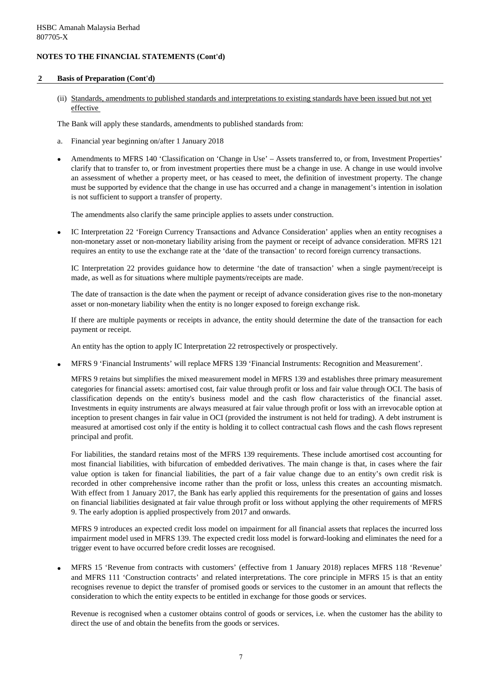#### **2 Basis of Preparation (Cont'd)**

(ii) Standards, amendments to published standards and interpretations to existing standards have been issued but not yet effective

The Bank will apply these standards, amendments to published standards from:

- a. Financial year beginning on/after 1 January 2018
- Amendments to MFRS 140 'Classification on 'Change in Use' – Assets transferred to, or from, Investment Properties' clarify that to transfer to, or from investment properties there must be a change in use. A change in use would involve an assessment of whether a property meet, or has ceased to meet, the definition of investment property. The change must be supported by evidence that the change in use has occurred and a change in management's intention in isolation is not sufficient to support a transfer of property.

The amendments also clarify the same principle applies to assets under construction.

• IC Interpretation 22 'Foreign Currency Transactions and Advance Consideration' applies when an entity recognises a non-monetary asset or non-monetary liability arising from the payment or receipt of advance consideration. MFRS 121 requires an entity to use the exchange rate at the 'date of the transaction' to record foreign currency transactions.

IC Interpretation 22 provides guidance how to determine 'the date of transaction' when a single payment/receipt is made, as well as for situations where multiple payments/receipts are made.

The date of transaction is the date when the payment or receipt of advance consideration gives rise to the non-monetary asset or non-monetary liability when the entity is no longer exposed to foreign exchange risk.

If there are multiple payments or receipts in advance, the entity should determine the date of the transaction for each payment or receipt.

An entity has the option to apply IC Interpretation 22 retrospectively or prospectively.

• MFRS 9 'Financial Instruments' will replace MFRS 139 'Financial Instruments: Recognition and Measurement'.

MFRS 9 retains but simplifies the mixed measurement model in MFRS 139 and establishes three primary measurement categories for financial assets: amortised cost, fair value through profit or loss and fair value through OCI. The basis of classification depends on the entity's business model and the cash flow characteristics of the financial asset. Investments in equity instruments are always measured at fair value through profit or loss with an irrevocable option at inception to present changes in fair value in OCI (provided the instrument is not held for trading). A debt instrument is measured at amortised cost only if the entity is holding it to collect contractual cash flows and the cash flows represent principal and profit.

For liabilities, the standard retains most of the MFRS 139 requirements. These include amortised cost accounting for most financial liabilities, with bifurcation of embedded derivatives. The main change is that, in cases where the fair value option is taken for financial liabilities, the part of a fair value change due to an entity's own credit risk is recorded in other comprehensive income rather than the profit or loss, unless this creates an accounting mismatch. With effect from 1 January 2017, the Bank has early applied this requirements for the presentation of gains and losses on financial liabilities designated at fair value through profit or loss without applying the other requirements of MFRS 9. The early adoption is applied prospectively from 2017 and onwards.

MFRS 9 introduces an expected credit loss model on impairment for all financial assets that replaces the incurred loss impairment model used in MFRS 139. The expected credit loss model is forward-looking and eliminates the need for a trigger event to have occurred before credit losses are recognised.

• MFRS 15 'Revenue from contracts with customers' (effective from 1 January 2018) replaces MFRS 118 'Revenue' and MFRS 111 'Construction contracts' and related interpretations. The core principle in MFRS 15 is that an entity recognises revenue to depict the transfer of promised goods or services to the customer in an amount that reflects the consideration to which the entity expects to be entitled in exchange for those goods or services.

Revenue is recognised when a customer obtains control of goods or services, i.e. when the customer has the ability to direct the use of and obtain the benefits from the goods or services.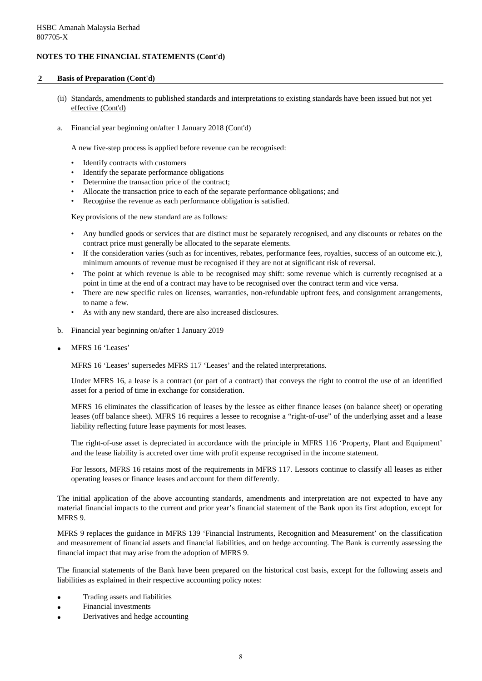### **2 Basis of Preparation (Cont'd)**

- (ii) Standards, amendments to published standards and interpretations to existing standards have been issued but not yet effective (Cont'd)
- a. Financial year beginning on/after 1 January 2018 (Cont'd)

A new five-step process is applied before revenue can be recognised:

- Identify contracts with customers
- Identify the separate performance obligations
- Determine the transaction price of the contract;
- Allocate the transaction price to each of the separate performance obligations; and
- Recognise the revenue as each performance obligation is satisfied.

Key provisions of the new standard are as follows:

- Any bundled goods or services that are distinct must be separately recognised, and any discounts or rebates on the contract price must generally be allocated to the separate elements.
- If the consideration varies (such as for incentives, rebates, performance fees, royalties, success of an outcome etc.), minimum amounts of revenue must be recognised if they are not at significant risk of reversal.
- The point at which revenue is able to be recognised may shift: some revenue which is currently recognised at a point in time at the end of a contract may have to be recognised over the contract term and vice versa.
- There are new specific rules on licenses, warranties, non-refundable upfront fees, and consignment arrangements, to name a few.
- As with any new standard, there are also increased disclosures.
- b. Financial year beginning on/after 1 January 2019
- MFRS 16 'Leases'

MFRS 16 'Leases' supersedes MFRS 117 'Leases' and the related interpretations.

Under MFRS 16, a lease is a contract (or part of a contract) that conveys the right to control the use of an identified asset for a period of time in exchange for consideration.

MFRS 16 eliminates the classification of leases by the lessee as either finance leases (on balance sheet) or operating leases (off balance sheet). MFRS 16 requires a lessee to recognise a "right-of-use" of the underlying asset and a lease liability reflecting future lease payments for most leases.

The right-of-use asset is depreciated in accordance with the principle in MFRS 116 'Property, Plant and Equipment' and the lease liability is accreted over time with profit expense recognised in the income statement.

For lessors, MFRS 16 retains most of the requirements in MFRS 117. Lessors continue to classify all leases as either operating leases or finance leases and account for them differently.

The initial application of the above accounting standards, amendments and interpretation are not expected to have any material financial impacts to the current and prior year's financial statement of the Bank upon its first adoption, except for MFRS 9.

MFRS 9 replaces the guidance in MFRS 139 'Financial Instruments, Recognition and Measurement' on the classification and measurement of financial assets and financial liabilities, and on hedge accounting. The Bank is currently assessing the financial impact that may arise from the adoption of MFRS 9.

The financial statements of the Bank have been prepared on the historical cost basis, except for the following assets and liabilities as explained in their respective accounting policy notes:

- Trading assets and liabilities
- Financial investments
- Derivatives and hedge accounting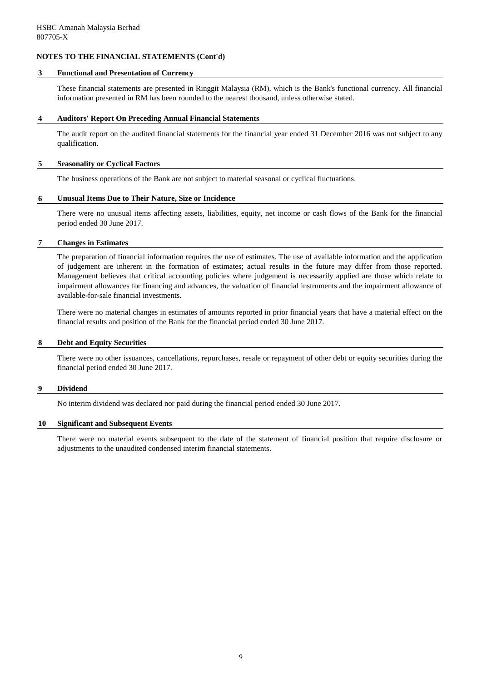#### **3 Functional and Presentation of Currency**

These financial statements are presented in Ringgit Malaysia (RM), which is the Bank's functional currency. All financial information presented in RM has been rounded to the nearest thousand, unless otherwise stated.

#### **4 Auditors' Report On Preceding Annual Financial Statements**

The audit report on the audited financial statements for the financial year ended 31 December 2016 was not subject to any qualification.

#### **5 Seasonality or Cyclical Factors**

The business operations of the Bank are not subject to material seasonal or cyclical fluctuations.

#### **6 Unusual Items Due to Their Nature, Size or Incidence**

There were no unusual items affecting assets, liabilities, equity, net income or cash flows of the Bank for the financial period ended 30 June 2017.

### **7 Changes in Estimates**

The preparation of financial information requires the use of estimates. The use of available information and the application of judgement are inherent in the formation of estimates; actual results in the future may differ from those reported. Management believes that critical accounting policies where judgement is necessarily applied are those which relate to impairment allowances for financing and advances, the valuation of financial instruments and the impairment allowance of available-for-sale financial investments.

There were no material changes in estimates of amounts reported in prior financial years that have a material effect on the financial results and position of the Bank for the financial period ended 30 June 2017.

#### **8 Debt and Equity Securities**

There were no other issuances, cancellations, repurchases, resale or repayment of other debt or equity securities during the financial period ended 30 June 2017.

### **9 Dividend**

No interim dividend was declared nor paid during the financial period ended 30 June 2017.

#### **10 Significant and Subsequent Events**

There were no material events subsequent to the date of the statement of financial position that require disclosure or adjustments to the unaudited condensed interim financial statements.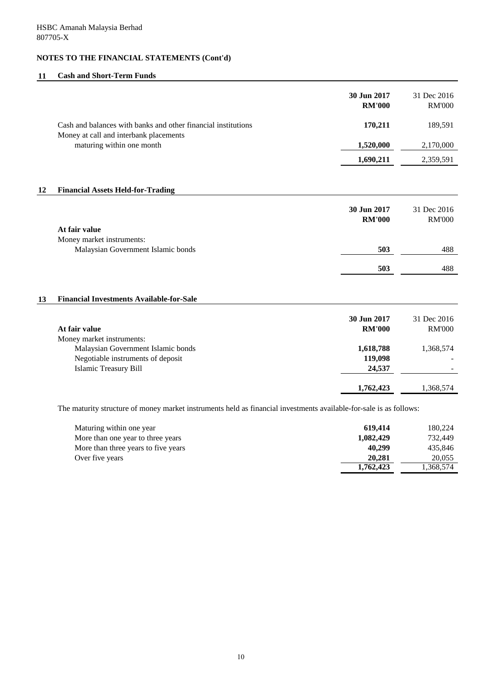## **11 Cash and Short-Term Funds**

|    |                                                                                                                    | 30 Jun 2017<br><b>RM'000</b>   | 31 Dec 2016<br><b>RM'000</b> |
|----|--------------------------------------------------------------------------------------------------------------------|--------------------------------|------------------------------|
|    | Cash and balances with banks and other financial institutions<br>Money at call and interbank placements            | 170,211                        | 189,591                      |
|    | maturing within one month                                                                                          | 1,520,000                      | 2,170,000                    |
|    |                                                                                                                    | 1,690,211                      | 2,359,591                    |
| 12 | <b>Financial Assets Held-for-Trading</b>                                                                           |                                |                              |
|    |                                                                                                                    | 30 Jun 2017<br><b>RM'000</b>   | 31 Dec 2016<br><b>RM'000</b> |
|    | At fair value                                                                                                      |                                |                              |
|    | Money market instruments:<br>Malaysian Government Islamic bonds                                                    | 503                            | 488                          |
|    |                                                                                                                    | 503                            | 488                          |
| 13 | <b>Financial Investments Available-for-Sale</b>                                                                    |                                |                              |
|    | At fair value<br>Money market instruments:                                                                         | 30 Jun 2017<br><b>RM'000</b>   | 31 Dec 2016<br><b>RM'000</b> |
|    | Malaysian Government Islamic bonds<br>Negotiable instruments of deposit<br><b>Islamic Treasury Bill</b>            | 1,618,788<br>119,098<br>24,537 | 1,368,574                    |
|    |                                                                                                                    | 1,762,423                      | 1,368,574                    |
|    | The maturity structure of money market instruments held as financial investments available-for-sale is as follows: |                                |                              |
|    | Maturing within one year                                                                                           | 619 414                        | 180.224                      |

| Maturing within one year            | 619.414   | 180.224   |
|-------------------------------------|-----------|-----------|
| More than one year to three years   | 1.082.429 | 732,449   |
| More than three years to five years | 40.299    | 435.846   |
| Over five years                     | 20,281    | 20,055    |
|                                     | 1.762.423 | 1.368.574 |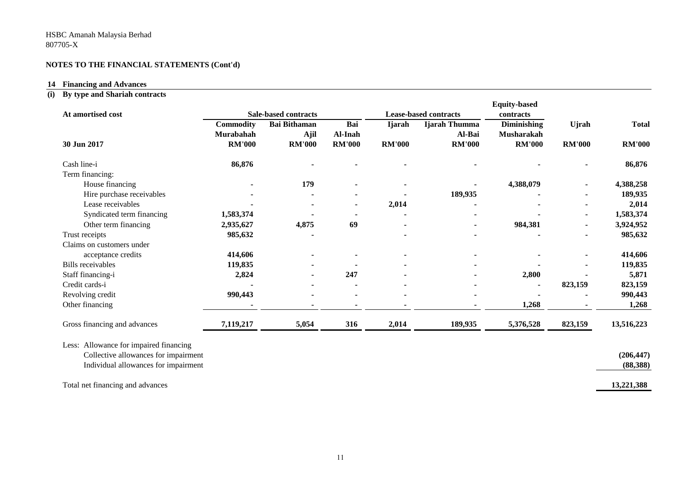## **14 Financing and Advances**

## **(i) By type and Shariah contracts**

| At amortised cost                      |                               | <b>Sale-based contracts</b> |                |               | <b>Lease-based contracts</b> | <b>Equity-based</b><br>contracts |               |               |
|----------------------------------------|-------------------------------|-----------------------------|----------------|---------------|------------------------------|----------------------------------|---------------|---------------|
|                                        | <b>Commodity</b><br>Murabahah | <b>Bai Bithaman</b><br>Ajil | Bai<br>Al-Inah | <b>Ijarah</b> | Ijarah Thumma<br>Al-Bai      | Diminishing<br>Musharakah        | <b>U</b> jrah | <b>Total</b>  |
| 30 Jun 2017                            | <b>RM'000</b>                 | <b>RM'000</b>               | <b>RM'000</b>  | <b>RM'000</b> | <b>RM'000</b>                | <b>RM'000</b>                    | <b>RM'000</b> | <b>RM'000</b> |
| Cash line-i                            | 86,876                        |                             |                |               |                              |                                  |               | 86,876        |
| Term financing:                        |                               |                             |                |               |                              |                                  |               |               |
| House financing                        |                               | 179                         |                |               |                              | 4,388,079                        |               | 4,388,258     |
| Hire purchase receivables              |                               |                             |                |               | 189,935                      |                                  |               | 189,935       |
| Lease receivables                      |                               |                             |                | 2,014         |                              |                                  |               | 2,014         |
| Syndicated term financing              | 1,583,374                     |                             |                |               |                              |                                  |               | 1,583,374     |
| Other term financing                   | 2,935,627                     | 4,875                       | 69             |               |                              | 984,381                          |               | 3,924,952     |
| Trust receipts                         | 985,632                       |                             |                |               |                              |                                  |               | 985,632       |
| Claims on customers under              |                               |                             |                |               |                              |                                  |               |               |
| acceptance credits                     | 414,606                       |                             |                |               |                              |                                  |               | 414,606       |
| <b>Bills</b> receivables               | 119,835                       |                             |                |               |                              |                                  |               | 119,835       |
| Staff financing-i                      | 2,824                         |                             | 247            |               |                              | 2,800                            |               | 5,871         |
| Credit cards-i                         |                               |                             |                |               |                              |                                  | 823,159       | 823,159       |
| Revolving credit                       | 990,443                       |                             |                |               |                              |                                  |               | 990,443       |
| Other financing                        |                               |                             |                |               |                              | 1,268                            |               | 1,268         |
| Gross financing and advances           | 7,119,217                     | 5,054                       | 316            | 2,014         | 189,935                      | 5,376,528                        | 823,159       | 13,516,223    |
| Less: Allowance for impaired financing |                               |                             |                |               |                              |                                  |               |               |
| Collective allowances for impairment   |                               |                             |                |               |                              |                                  |               | (206, 447)    |
| Individual allowances for impairment   |                               |                             |                |               |                              |                                  |               | (88, 388)     |
| Total net financing and advances       |                               |                             |                |               |                              |                                  |               | 13,221,388    |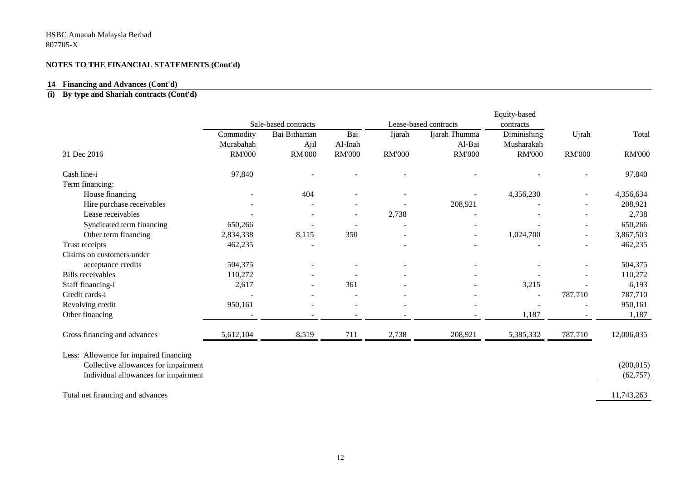#### **14 Financing and Advances (Cont'd)**

#### **(i) By type and Shariah contracts (Cont'd)**

|                                        |               |                      |               |               |                       | Equity-based  |                          |               |
|----------------------------------------|---------------|----------------------|---------------|---------------|-----------------------|---------------|--------------------------|---------------|
|                                        |               | Sale-based contracts |               |               | Lease-based contracts | contracts     |                          |               |
|                                        | Commodity     | Bai Bithaman         | Bai           | Ijarah        | Ijarah Thumma         | Diminishing   | Ujrah                    | Total         |
|                                        | Murabahah     | Ajil                 | Al-Inah       |               | Al-Bai                | Musharakah    |                          |               |
| 31 Dec 2016                            | <b>RM'000</b> | <b>RM'000</b>        | <b>RM'000</b> | <b>RM'000</b> | <b>RM'000</b>         | <b>RM'000</b> | <b>RM'000</b>            | <b>RM'000</b> |
| Cash line-i                            | 97,840        |                      |               |               |                       |               |                          | 97,840        |
| Term financing:                        |               |                      |               |               |                       |               |                          |               |
| House financing                        |               | 404                  |               |               |                       | 4,356,230     |                          | 4,356,634     |
| Hire purchase receivables              |               |                      |               |               | 208,921               |               |                          | 208,921       |
| Lease receivables                      |               |                      |               | 2,738         |                       |               |                          | 2,738         |
| Syndicated term financing              | 650,266       |                      |               |               |                       |               |                          | 650,266       |
| Other term financing                   | 2,834,338     | 8,115                | 350           |               | $\overline{a}$        | 1,024,700     | $\overline{\phantom{a}}$ | 3,867,503     |
| Trust receipts                         | 462,235       |                      |               |               |                       |               |                          | 462,235       |
| Claims on customers under              |               |                      |               |               |                       |               |                          |               |
| acceptance credits                     | 504,375       |                      |               |               |                       |               |                          | 504,375       |
| <b>Bills</b> receivables               | 110,272       |                      |               |               |                       |               |                          | 110,272       |
| Staff financing-i                      | 2,617         |                      | 361           |               |                       | 3,215         |                          | 6,193         |
| Credit cards-i                         |               |                      |               |               |                       |               | 787,710                  | 787,710       |
| Revolving credit                       | 950,161       |                      |               |               |                       |               |                          | 950,161       |
| Other financing                        |               |                      |               |               |                       | 1,187         |                          | 1,187         |
| Gross financing and advances           | 5,612,104     | 8,519                | 711           | 2,738         | 208,921               | 5,385,332     | 787,710                  | 12,006,035    |
| Less: Allowance for impaired financing |               |                      |               |               |                       |               |                          |               |
| Collective allowances for impairment   |               |                      |               |               |                       |               |                          | (200, 015)    |
| Individual allowances for impairment   |               |                      |               |               |                       |               |                          | (62, 757)     |
|                                        |               |                      |               |               |                       |               |                          |               |
| Total net financing and advances       |               |                      |               |               |                       |               |                          | 11,743,263    |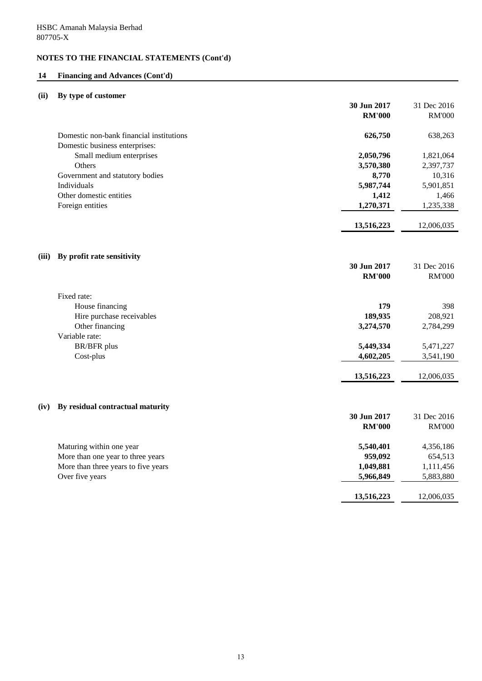## **14 Financing and Advances (Cont'd)**

## **(ii) By type of customer**

|                                                            | 30 Jun 2017<br><b>RM'000</b> | 31 Dec 2016<br><b>RM'000</b> |
|------------------------------------------------------------|------------------------------|------------------------------|
|                                                            |                              |                              |
| Domestic non-bank financial institutions                   | 626,750                      | 638,263                      |
| Domestic business enterprises:<br>Small medium enterprises | 2,050,796                    | 1,821,064                    |
| Others                                                     | 3,570,380                    | 2,397,737                    |
| Government and statutory bodies                            | 8,770                        | 10,316                       |
| Individuals                                                | 5,987,744                    | 5,901,851                    |
| Other domestic entities                                    | 1,412                        | 1,466                        |
| Foreign entities                                           | 1,270,371                    | 1,235,338                    |
|                                                            |                              |                              |
|                                                            | 13,516,223                   | 12,006,035                   |
|                                                            |                              |                              |
| By profit rate sensitivity<br>(iii)                        |                              |                              |
|                                                            | 30 Jun 2017                  | 31 Dec 2016                  |
|                                                            | <b>RM'000</b>                | <b>RM'000</b>                |
| Fixed rate:                                                |                              |                              |
| House financing                                            | 179                          | 398                          |
| Hire purchase receivables                                  | 189,935                      | 208,921                      |
| Other financing                                            | 3,274,570                    | 2,784,299                    |
| Variable rate:<br>BR/BFR plus                              | 5,449,334                    | 5,471,227                    |
| Cost-plus                                                  | 4,602,205                    | 3,541,190                    |
|                                                            |                              |                              |
|                                                            | 13,516,223                   | 12,006,035                   |
|                                                            |                              |                              |
| By residual contractual maturity<br>(iv)                   |                              |                              |
|                                                            | 30 Jun 2017                  | 31 Dec 2016                  |
|                                                            | <b>RM'000</b>                | <b>RM'000</b>                |
| Maturing within one year                                   | 5,540,401                    | 4,356,186                    |
| More than one year to three years                          | 959,092                      | 654,513                      |
| More than three years to five years                        | 1,049,881                    | 1,111,456                    |
| Over five years                                            | 5,966,849                    | 5,883,880                    |
|                                                            | 13,516,223                   | 12,006,035                   |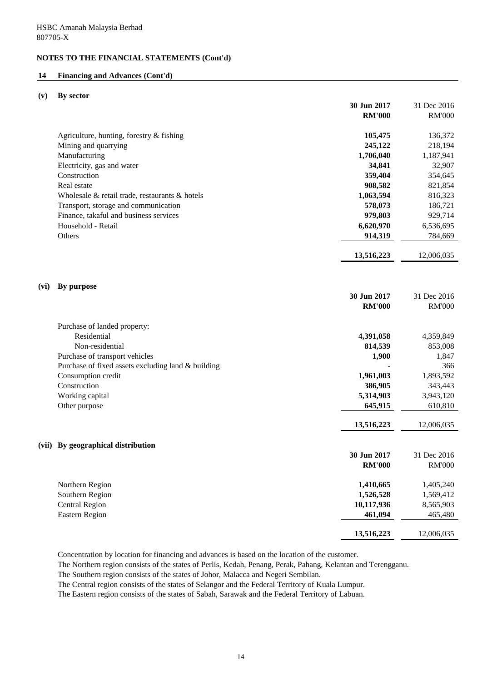## **14 Financing and Advances (Cont'd)**

#### **(v) By sector**

|      |                                                    | 30 Jun 2017<br><b>RM'000</b> | 31 Dec 2016<br><b>RM'000</b> |
|------|----------------------------------------------------|------------------------------|------------------------------|
|      | Agriculture, hunting, forestry & fishing           | 105,475                      | 136,372                      |
|      | Mining and quarrying                               | 245,122                      | 218,194                      |
|      | Manufacturing                                      | 1,706,040                    | 1,187,941                    |
|      | Electricity, gas and water                         | 34,841                       | 32,907                       |
|      | Construction                                       | 359,404                      | 354,645                      |
|      | Real estate                                        | 908,582                      | 821,854                      |
|      | Wholesale & retail trade, restaurants & hotels     | 1,063,594                    | 816,323                      |
|      | Transport, storage and communication               | 578,073                      | 186,721                      |
|      | Finance, takaful and business services             | 979,803                      | 929,714                      |
|      | Household - Retail                                 | 6,620,970                    | 6,536,695                    |
|      | Others                                             | 914,319                      | 784,669                      |
|      |                                                    | 13,516,223                   | 12,006,035                   |
|      |                                                    |                              |                              |
| (vi) | By purpose                                         | 30 Jun 2017                  | 31 Dec 2016                  |
|      |                                                    | <b>RM'000</b>                | <b>RM'000</b>                |
|      | Purchase of landed property:                       |                              |                              |
|      | Residential                                        | 4,391,058                    | 4,359,849                    |
|      | Non-residential                                    | 814,539                      | 853,008                      |
|      | Purchase of transport vehicles                     | 1,900                        | 1,847                        |
|      | Purchase of fixed assets excluding land & building |                              | 366                          |
|      | Consumption credit                                 | 1,961,003                    | 1,893,592                    |
|      | Construction                                       | 386,905                      | 343,443                      |
|      | Working capital                                    | 5,314,903                    | 3,943,120                    |
|      | Other purpose                                      | 645,915                      | 610,810                      |
|      |                                                    | 13,516,223                   | 12,006,035                   |
|      | (vii) By geographical distribution                 |                              |                              |
|      |                                                    | 30 Jun 2017                  | 31 Dec 2016                  |
|      |                                                    | <b>RM'000</b>                | <b>RM'000</b>                |
|      | Northern Region                                    | 1,410,665                    | 1,405,240                    |
|      | Southern Region                                    | 1,526,528                    | 1,569,412                    |
|      | <b>Central Region</b>                              | 10,117,936                   | 8,565,903                    |
|      | <b>Eastern Region</b>                              | 461,094                      | 465,480                      |
|      |                                                    | 13,516,223                   | 12,006,035                   |
|      |                                                    |                              |                              |

Concentration by location for financing and advances is based on the location of the customer.

The Northern region consists of the states of Perlis, Kedah, Penang, Perak, Pahang, Kelantan and Terengganu.

The Southern region consists of the states of Johor, Malacca and Negeri Sembilan.

The Central region consists of the states of Selangor and the Federal Territory of Kuala Lumpur.

The Eastern region consists of the states of Sabah, Sarawak and the Federal Territory of Labuan.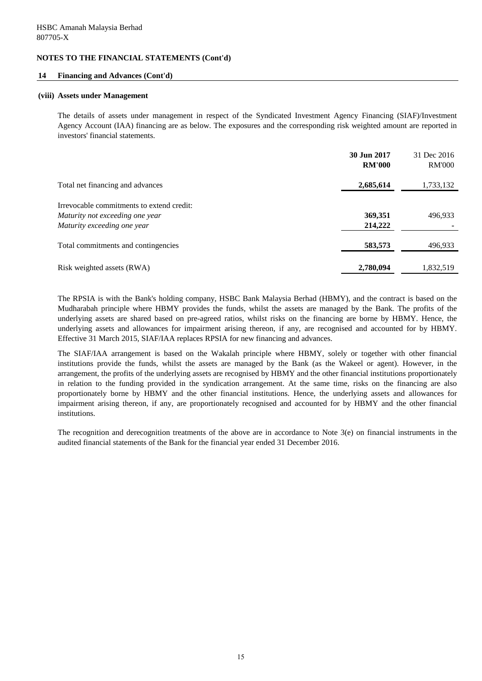#### **14 Financing and Advances (Cont'd)**

#### **(viii) Assets under Management**

The details of assets under management in respect of the Syndicated Investment Agency Financing (SIAF)/Investment Agency Account (IAA) financing are as below. The exposures and the corresponding risk weighted amount are reported in investors' financial statements.

|                                                                                                             | 30 Jun 2017<br><b>RM'000</b> | 31 Dec 2016<br><b>RM'000</b> |
|-------------------------------------------------------------------------------------------------------------|------------------------------|------------------------------|
| Total net financing and advances                                                                            | 2,685,614                    | 1,733,132                    |
| Irrevocable commitments to extend credit:<br>Maturity not exceeding one year<br>Maturity exceeding one year | 369,351<br>214,222           | 496,933                      |
| Total commitments and contingencies                                                                         | 583,573                      | 496,933                      |
| Risk weighted assets (RWA)                                                                                  | 2,780,094                    | 1,832,519                    |

The RPSIA is with the Bank's holding company, HSBC Bank Malaysia Berhad (HBMY), and the contract is based on the Mudharabah principle where HBMY provides the funds, whilst the assets are managed by the Bank. The profits of the underlying assets are shared based on pre-agreed ratios, whilst risks on the financing are borne by HBMY. Hence, the underlying assets and allowances for impairment arising thereon, if any, are recognised and accounted for by HBMY. Effective 31 March 2015, SIAF/IAA replaces RPSIA for new financing and advances.

The SIAF/IAA arrangement is based on the Wakalah principle where HBMY, solely or together with other financial institutions provide the funds, whilst the assets are managed by the Bank (as the Wakeel or agent). However, in the arrangement, the profits of the underlying assets are recognised by HBMY and the other financial institutions proportionately in relation to the funding provided in the syndication arrangement. At the same time, risks on the financing are also proportionately borne by HBMY and the other financial institutions. Hence, the underlying assets and allowances for impairment arising thereon, if any, are proportionately recognised and accounted for by HBMY and the other financial institutions.

The recognition and derecognition treatments of the above are in accordance to Note  $3(e)$  on financial instruments in the audited financial statements of the Bank for the financial year ended 31 December 2016.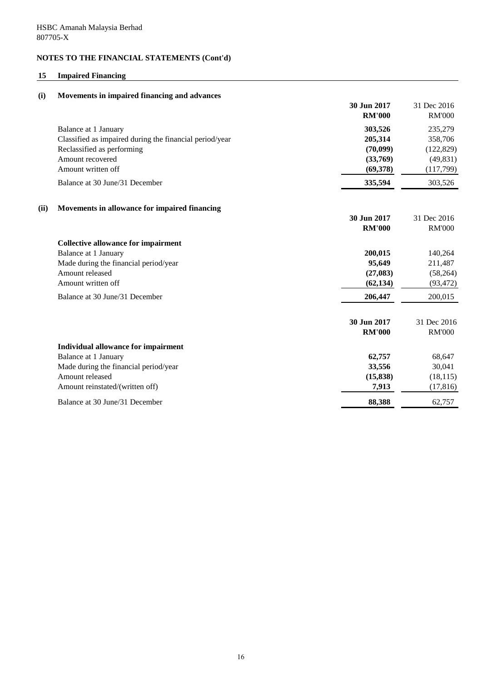## **15 Impaired Financing**

| (i)  | Movements in impaired financing and advances            |                              |                              |
|------|---------------------------------------------------------|------------------------------|------------------------------|
|      |                                                         | 30 Jun 2017<br><b>RM'000</b> | 31 Dec 2016<br><b>RM'000</b> |
|      | Balance at 1 January                                    | 303,526                      | 235,279                      |
|      | Classified as impaired during the financial period/year | 205,314                      | 358,706                      |
|      | Reclassified as performing                              | (70,099)                     | (122, 829)                   |
|      | Amount recovered                                        | (33,769)                     | (49, 831)                    |
|      | Amount written off                                      | (69,378)                     | (117,799)                    |
|      | Balance at 30 June/31 December                          | 335,594                      | 303,526                      |
| (ii) | Movements in allowance for impaired financing           |                              |                              |
|      |                                                         | 30 Jun 2017                  | 31 Dec 2016                  |
|      |                                                         | <b>RM'000</b>                | <b>RM'000</b>                |
|      | <b>Collective allowance for impairment</b>              |                              |                              |
|      | Balance at 1 January                                    | 200,015                      | 140,264                      |
|      | Made during the financial period/year                   | 95,649                       | 211,487                      |
|      | Amount released                                         | (27, 083)                    | (58, 264)                    |
|      | Amount written off                                      | (62, 134)                    | (93, 472)                    |
|      | Balance at 30 June/31 December                          | 206,447                      | 200,015                      |
|      |                                                         | 30 Jun 2017                  | 31 Dec 2016                  |
|      |                                                         | <b>RM'000</b>                | <b>RM'000</b>                |
|      | Individual allowance for impairment                     |                              |                              |
|      | Balance at 1 January                                    | 62,757                       | 68,647                       |
|      | Made during the financial period/year                   | 33,556                       | 30,041                       |
|      | Amount released                                         | (15, 838)                    | (18, 115)                    |
|      | Amount reinstated/(written off)                         | 7,913                        | (17, 816)                    |
|      | Balance at 30 June/31 December                          | 88,388                       | 62,757                       |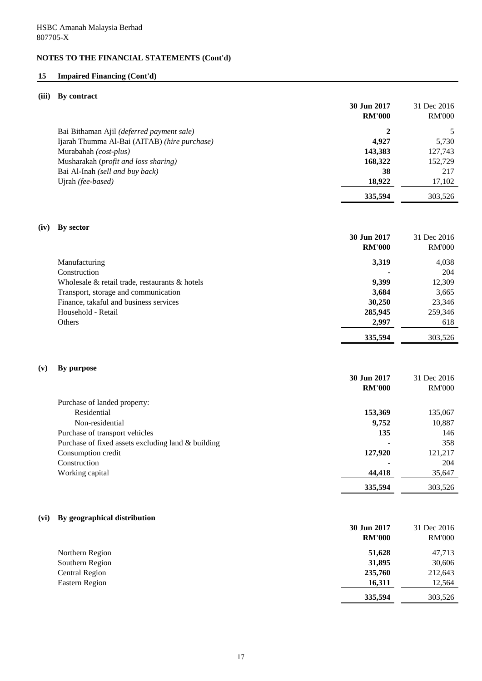## **15 Impaired Financing (Cont'd)**

## **(iii) By contract**

| 30 Jun 2017<br><b>RM'000</b> | 31 Dec 2016<br><b>RM'000</b> |
|------------------------------|------------------------------|
| 2                            |                              |
| 4.927                        | 5,730                        |
| 143,383                      | 127,743                      |
| 168,322                      | 152,729                      |
| 38                           | 217                          |
| 18,922                       | 17,102                       |
| 335.594                      | 303.526                      |
|                              |                              |

## **(iv) By sector 30 Jun 2017** 31 Dec 2016 **RM'000** RM'000 Manufacturing **3,319** 4,038 Construction **-** 204 Wholesale & retail trade, restaurants & hotels **9,399** 12,309 Transport, storage and communication **3,684** 3,665 Finance, takaful and business services **30,250** 23,346 Household - Retail **285,945** 259,346 Others **2,997** 618 **335,594** 303,526

#### **(v) By purpose**

|                                                      | 30 Jun 2017   | 31 Dec 2016   |
|------------------------------------------------------|---------------|---------------|
|                                                      | <b>RM'000</b> | <b>RM'000</b> |
| Purchase of landed property:                         |               |               |
| Residential                                          | 153,369       | 135,067       |
| Non-residential                                      | 9,752         | 10,887        |
| Purchase of transport vehicles                       | 135           | 146           |
| Purchase of fixed assets excluding land $&$ building |               | 358           |
| Consumption credit                                   | 127,920       | 121,217       |
| Construction                                         |               | 204           |
| Working capital                                      | 44,418        | 35,647        |
|                                                      | 335,594       | 303.526       |

## **(vi) By geographical distribution**

|                 | 30 Jun 2017<br><b>RM'000</b> | 31 Dec 2016<br><b>RM'000</b> |
|-----------------|------------------------------|------------------------------|
| Northern Region | 51,628                       | 47,713                       |
| Southern Region | 31,895                       | 30,606                       |
| Central Region  | 235,760                      | 212,643                      |
| Eastern Region  | 16,311                       | 12,564                       |
|                 | 335,594                      | 303,526                      |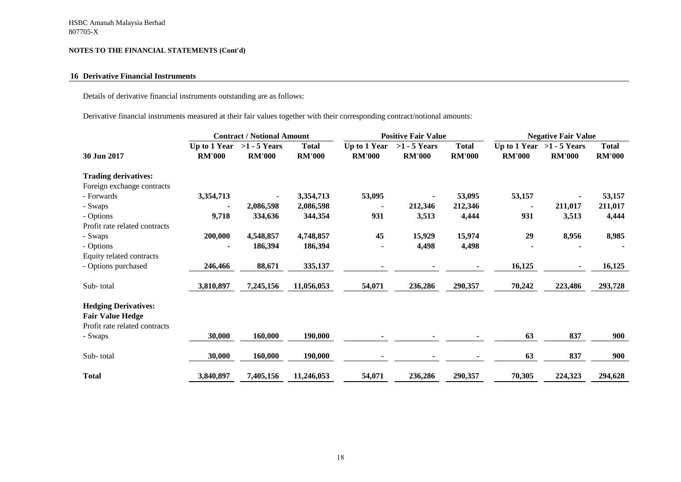#### **16 Derivative Financial Instruments**

Details of derivative financial instruments outstanding are as follows:

Derivative financial instruments measured at their fair values together with their corresponding contract/notional amounts:

|                               |                               |                                 | <b>Contract / Notional Amount</b><br><b>Positive Fair Value</b> |                               | <b>Negative Fair Value</b>      |                               |               |                                              |                               |
|-------------------------------|-------------------------------|---------------------------------|-----------------------------------------------------------------|-------------------------------|---------------------------------|-------------------------------|---------------|----------------------------------------------|-------------------------------|
| 30 Jun 2017                   | Up to 1 Year<br><b>RM'000</b> | $>1 - 5$ Years<br><b>RM'000</b> | <b>Total</b><br><b>RM'000</b>                                   | Up to 1 Year<br><b>RM'000</b> | $>1 - 5$ Years<br><b>RM'000</b> | <b>Total</b><br><b>RM'000</b> | <b>RM'000</b> | Up to 1 Year $>1 - 5$ Years<br><b>RM'000</b> | <b>Total</b><br><b>RM'000</b> |
| <b>Trading derivatives:</b>   |                               |                                 |                                                                 |                               |                                 |                               |               |                                              |                               |
| Foreign exchange contracts    |                               |                                 |                                                                 |                               |                                 |                               |               |                                              |                               |
| - Forwards                    | 3,354,713                     | ٠                               | 3,354,713                                                       | 53,095                        | $\blacksquare$                  | 53,095                        | 53,157        |                                              | 53,157                        |
| - Swaps                       |                               | 2,086,598                       | 2,086,598                                                       |                               | 212,346                         | 212,346                       |               | 211,017                                      | 211,017                       |
| - Options                     | 9,718                         | 334,636                         | 344,354                                                         | 931                           | 3,513                           | 4,444                         | 931           | 3,513                                        | 4,444                         |
| Profit rate related contracts |                               |                                 |                                                                 |                               |                                 |                               |               |                                              |                               |
| - Swaps                       | 200,000                       | 4,548,857                       | 4,748,857                                                       | 45                            | 15,929                          | 15,974                        | 29            | 8,956                                        | 8,985                         |
| - Options                     |                               | 186,394                         | 186,394                                                         |                               | 4,498                           | 4,498                         |               |                                              |                               |
| Equity related contracts      |                               |                                 |                                                                 |                               |                                 |                               |               |                                              |                               |
| - Options purchased           | 246,466                       | 88,671                          | 335,137                                                         |                               |                                 |                               | 16,125        | ۰.                                           | 16,125                        |
| Sub-total                     | 3,810,897                     | 7,245,156                       | 11,056,053                                                      | 54,071                        | 236,286                         | 290,357                       | 70,242        | 223,486                                      | 293,728                       |
| <b>Hedging Derivatives:</b>   |                               |                                 |                                                                 |                               |                                 |                               |               |                                              |                               |
| <b>Fair Value Hedge</b>       |                               |                                 |                                                                 |                               |                                 |                               |               |                                              |                               |
| Profit rate related contracts |                               |                                 |                                                                 |                               |                                 |                               |               |                                              |                               |
| - Swaps                       | 30,000                        | 160,000                         | 190,000                                                         |                               |                                 |                               | 63            | 837                                          | 900                           |
| Sub-total                     | 30,000                        | 160,000                         | 190,000                                                         |                               |                                 |                               | 63            | 837                                          | 900                           |
| <b>Total</b>                  | 3,840,897                     | 7,405,156                       | 11,246,053                                                      | 54,071                        | 236,286                         | 290,357                       | 70,305        | 224,323                                      | 294,628                       |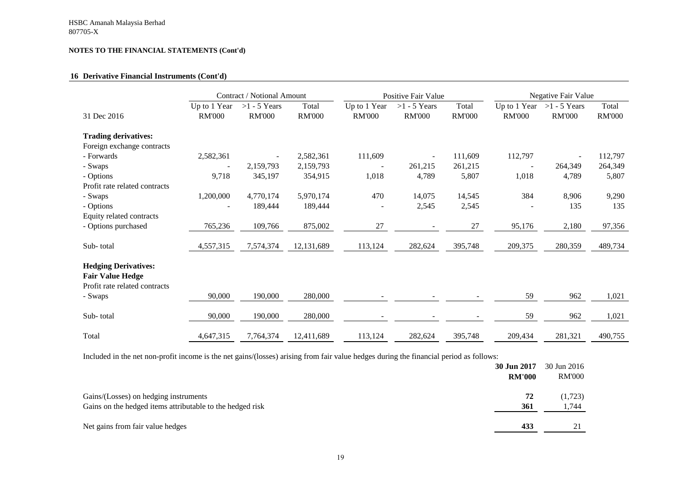#### **16 Derivative Financial Instruments (Cont'd)**

|                                                                                         |                               | Contract / Notional Amount      |                        | Positive Fair Value           |                                 | Negative Fair Value    |                               |                                 |                        |
|-----------------------------------------------------------------------------------------|-------------------------------|---------------------------------|------------------------|-------------------------------|---------------------------------|------------------------|-------------------------------|---------------------------------|------------------------|
| 31 Dec 2016                                                                             | Up to 1 Year<br><b>RM'000</b> | $>1 - 5$ Years<br><b>RM'000</b> | Total<br><b>RM'000</b> | Up to 1 Year<br><b>RM'000</b> | $>1 - 5$ Years<br><b>RM'000</b> | Total<br><b>RM'000</b> | Up to 1 Year<br><b>RM'000</b> | $>1 - 5$ Years<br><b>RM'000</b> | Total<br><b>RM'000</b> |
| <b>Trading derivatives:</b>                                                             |                               |                                 |                        |                               |                                 |                        |                               |                                 |                        |
| Foreign exchange contracts                                                              |                               |                                 |                        |                               |                                 |                        |                               |                                 |                        |
| - Forwards                                                                              | 2,582,361                     |                                 | 2,582,361              | 111,609                       | $\overline{\phantom{a}}$        | 111,609                | 112,797                       |                                 | 112,797                |
| - Swaps                                                                                 |                               | 2,159,793                       | 2,159,793              |                               | 261,215                         | 261,215                |                               | 264,349                         | 264,349                |
| - Options                                                                               | 9,718                         | 345,197                         | 354,915                | 1,018                         | 4,789                           | 5,807                  | 1,018                         | 4,789                           | 5,807                  |
| Profit rate related contracts                                                           |                               |                                 |                        |                               |                                 |                        |                               |                                 |                        |
| - Swaps                                                                                 | 1,200,000                     | 4,770,174                       | 5,970,174              | 470                           | 14,075                          | 14,545                 | 384                           | 8,906                           | 9,290                  |
| - Options                                                                               |                               | 189,444                         | 189,444                |                               | 2,545                           | 2,545                  |                               | 135                             | 135                    |
| Equity related contracts                                                                |                               |                                 |                        |                               |                                 |                        |                               |                                 |                        |
| - Options purchased                                                                     | 765,236                       | 109,766                         | 875,002                | 27                            | $\blacksquare$                  | 27                     | 95,176                        | 2,180                           | 97,356                 |
| Sub-total                                                                               | 4,557,315                     | 7,574,374                       | 12,131,689             | 113,124                       | 282,624                         | 395,748                | 209,375                       | 280,359                         | 489,734                |
| <b>Hedging Derivatives:</b><br><b>Fair Value Hedge</b><br>Profit rate related contracts |                               |                                 |                        |                               |                                 |                        |                               |                                 |                        |
| - Swaps                                                                                 | 90,000                        | 190,000                         | 280,000                |                               |                                 |                        | 59                            | 962                             | 1,021                  |
| Sub-total                                                                               | 90,000                        | 190,000                         | 280,000                |                               |                                 |                        | 59                            | 962                             | 1,021                  |
| Total                                                                                   | 4,647,315                     | 7,764,374                       | 12,411,689             | 113,124                       | 282,624                         | 395,748                | 209,434                       | 281,321                         | 490,755                |

Included in the net non-profit income is the net gains/(losses) arising from fair value hedges during the financial period as follows:

|                                                           | 30 Jun 2017   | 30 Jun 2016   |
|-----------------------------------------------------------|---------------|---------------|
|                                                           | <b>RM'000</b> | <b>RM'000</b> |
| Gains/(Losses) on hedging instruments                     | 72            | (1,723)       |
| Gains on the hedged items attributable to the hedged risk | 361           | 1,744         |
| Net gains from fair value hedges                          | 433           |               |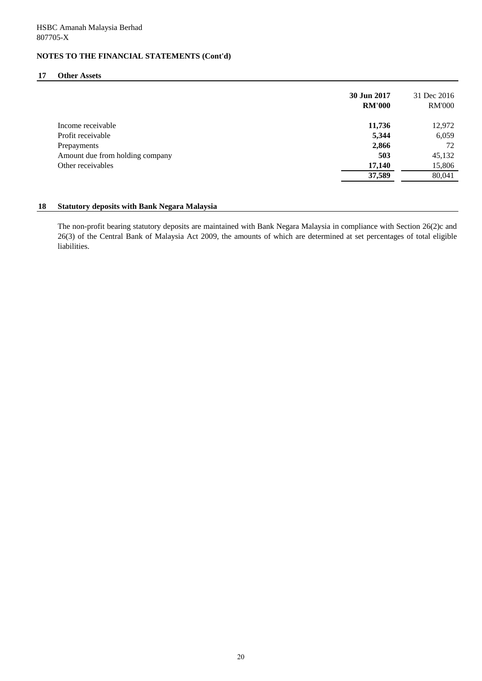#### **17 Other Assets**

|                                 | 30 Jun 2017<br><b>RM'000</b> | 31 Dec 2016<br><b>RM'000</b> |
|---------------------------------|------------------------------|------------------------------|
| Income receivable               | 11,736                       | 12,972                       |
| Profit receivable               | 5,344                        | 6,059                        |
| Prepayments                     | 2,866                        | 72                           |
| Amount due from holding company | 503                          | 45,132                       |
| Other receivables               | 17,140                       | 15,806                       |
|                                 | 37,589                       | 80,041                       |
|                                 |                              |                              |

#### **18 Statutory deposits with Bank Negara Malaysia**

The non-profit bearing statutory deposits are maintained with Bank Negara Malaysia in compliance with Section 26(2)c and 26(3) of the Central Bank of Malaysia Act 2009, the amounts of which are determined at set percentages of total eligible liabilities.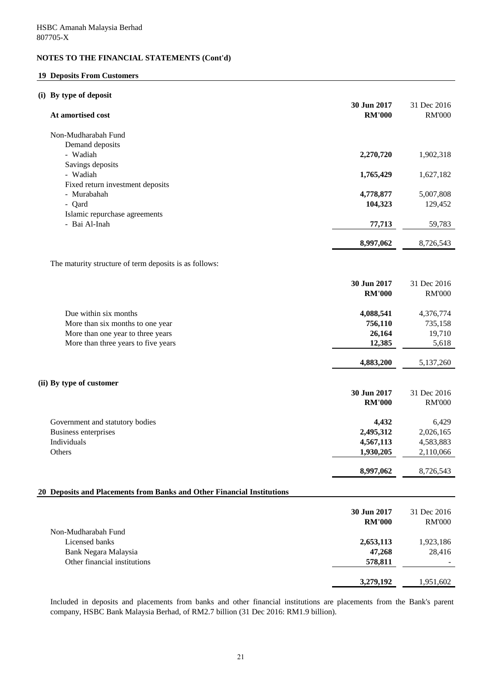## **19 Deposits From Customers**

## **(i) By type of deposit**

| At amortised cost                                                      | 30 Jun 2017<br><b>RM'000</b> | 31 Dec 2016<br><b>RM'000</b> |
|------------------------------------------------------------------------|------------------------------|------------------------------|
| Non-Mudharabah Fund                                                    |                              |                              |
| Demand deposits                                                        |                              |                              |
| - Wadiah                                                               | 2,270,720                    | 1,902,318                    |
| Savings deposits                                                       |                              |                              |
| - Wadiah                                                               | 1,765,429                    | 1,627,182                    |
| Fixed return investment deposits                                       |                              |                              |
| - Murabahah                                                            | 4,778,877                    | 5,007,808                    |
| - Qard                                                                 | 104,323                      | 129,452                      |
| Islamic repurchase agreements                                          |                              |                              |
| - Bai Al-Inah                                                          | 77,713                       | 59,783                       |
|                                                                        | 8,997,062                    | 8,726,543                    |
| The maturity structure of term deposits is as follows:                 |                              |                              |
|                                                                        |                              |                              |
|                                                                        | 30 Jun 2017                  | 31 Dec 2016                  |
|                                                                        | <b>RM'000</b>                | <b>RM'000</b>                |
| Due within six months                                                  |                              | 4,376,774                    |
| More than six months to one year                                       | 4,088,541<br>756,110         | 735,158                      |
| More than one year to three years                                      | 26,164                       | 19,710                       |
| More than three years to five years                                    | 12,385                       | 5,618                        |
|                                                                        |                              |                              |
|                                                                        | 4,883,200                    | 5,137,260                    |
| (ii) By type of customer                                               |                              |                              |
|                                                                        | 30 Jun 2017                  | 31 Dec 2016                  |
|                                                                        | <b>RM'000</b>                | <b>RM'000</b>                |
| Government and statutory bodies                                        | 4,432                        | 6,429                        |
| Business enterprises                                                   | 2,495,312                    | 2,026,165                    |
| Individuals                                                            | 4,567,113                    | 4,583,883                    |
| Others                                                                 | 1,930,205                    | 2,110,066                    |
|                                                                        | 8,997,062                    | 8,726,543                    |
|                                                                        |                              |                              |
| 20 Deposits and Placements from Banks and Other Financial Institutions |                              |                              |
|                                                                        | 30 Jun 2017                  | 31 Dec 2016                  |
|                                                                        | <b>RM'000</b>                | <b>RM'000</b>                |
| Non-Mudharabah Fund                                                    |                              |                              |
| Licensed banks                                                         | 2,653,113                    | 1,923,186                    |
| Bank Negara Malaysia                                                   | 47,268                       | 28,416                       |
| Other financial institutions                                           | 578,811                      |                              |
|                                                                        | 3,279,192                    | 1,951,602                    |
|                                                                        |                              |                              |

Included in deposits and placements from banks and other financial institutions are placements from the Bank's parent company, HSBC Bank Malaysia Berhad, of RM2.7 billion (31 Dec 2016: RM1.9 billion).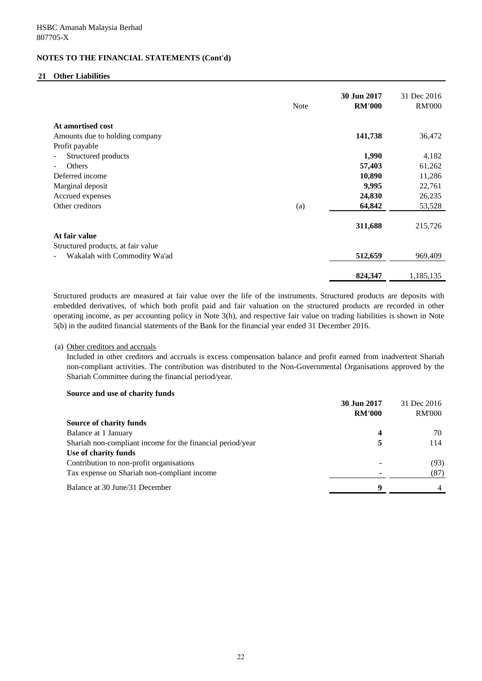## **21 Other Liabilities**

|                                    | <b>Note</b> | 30 Jun 2017<br><b>RM'000</b> | 31 Dec 2016<br><b>RM'000</b> |
|------------------------------------|-------------|------------------------------|------------------------------|
| At amortised cost                  |             |                              |                              |
| Amounts due to holding company     |             | 141,738                      | 36,472                       |
| Profit payable                     |             |                              |                              |
| Structured products                |             | 1,990                        | 4,182                        |
| Others                             |             | 57,403                       | 61,262                       |
| Deferred income                    |             | 10,890                       | 11,286                       |
| Marginal deposit                   |             | 9,995                        | 22,761                       |
| Accrued expenses                   |             | 24,830                       | 26,235                       |
| Other creditors                    | (a)         | 64,842                       | 53,528                       |
|                                    |             | 311,688                      | 215,726                      |
| At fair value                      |             |                              |                              |
| Structured products, at fair value |             |                              |                              |
| Wakalah with Commodity Wa'ad       |             | 512,659                      | 969,409                      |
|                                    |             | 824,347                      | 1,185,135                    |

Structured products are measured at fair value over the life of the instruments. Structured products are deposits with embedded derivatives, of which both profit paid and fair valuation on the structured products are recorded in other operating income, as per accounting policy in Note 3(h), and respective fair value on trading liabilities is shown in Note 5(b) in the audited financial statements of the Bank for the financial year ended 31 December 2016.

### (a) Other creditors and accruals

Included in other creditors and accruals is excess compensation balance and profit earned from inadvertent Shariah non-compliant activities. The contribution was distributed to the Non-Governmental Organisations approved by the Shariah Committee during the financial period/year.

### **Source and use of charity funds**

|                                                            | 30 Jun 2017   | 31 Dec 2016   |
|------------------------------------------------------------|---------------|---------------|
|                                                            | <b>RM'000</b> | <b>RM'000</b> |
| Source of charity funds                                    |               |               |
| Balance at 1 January                                       | 4             | 70            |
| Shariah non-compliant income for the financial period/year | 5             | 114           |
| Use of charity funds                                       |               |               |
| Contribution to non-profit organisations                   |               | (93)          |
| Tax expense on Shariah non-compliant income                |               | (87)          |
| Balance at 30 June/31 December                             | Q             |               |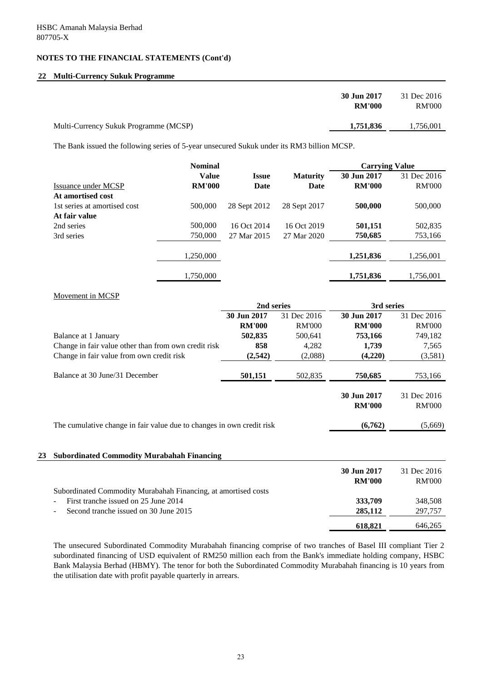### **22 Multi-Currency Sukuk Programme**

|                                       | 30 Jun 2017<br><b>RM'000</b> | 31 Dec 2016<br><b>RM'000</b> |
|---------------------------------------|------------------------------|------------------------------|
| Multi-Currency Sukuk Programme (MCSP) | 1,751,836                    | 1,756,001                    |

The Bank issued the following series of 5-year unsecured Sukuk under its RM3 billion MCSP.

|                              | <b>Nominal</b> |              |                 | <b>Carrying Value</b> |               |
|------------------------------|----------------|--------------|-----------------|-----------------------|---------------|
|                              | <b>Value</b>   | <b>Issue</b> | <b>Maturity</b> | 30 Jun 2017           | 31 Dec 2016   |
| Issuance under MCSP          | <b>RM'000</b>  | Date         | Date            | <b>RM'000</b>         | <b>RM'000</b> |
| At amortised cost            |                |              |                 |                       |               |
| 1st series at amortised cost | 500,000        | 28 Sept 2012 | 28 Sept 2017    | 500,000               | 500,000       |
| At fair value                |                |              |                 |                       |               |
| 2nd series                   | 500,000        | 16 Oct 2014  | 16 Oct 2019     | 501,151               | 502,835       |
| 3rd series                   | 750,000        | 27 Mar 2015  | 27 Mar 2020     | 750,685               | 753,166       |
|                              |                |              |                 |                       |               |
|                              | 1,250,000      |              |                 | 1,251,836             | 1,256,001     |
|                              |                |              |                 |                       |               |
|                              | 1,750,000      |              |                 | 1,751,836             | 1,756,001     |

### Movement in MCSP

|                                                                       | 2nd series    |               |               | 3rd series    |  |
|-----------------------------------------------------------------------|---------------|---------------|---------------|---------------|--|
|                                                                       | 30 Jun 2017   | 31 Dec 2016   | 30 Jun 2017   | 31 Dec 2016   |  |
|                                                                       | <b>RM'000</b> | <b>RM'000</b> | <b>RM'000</b> | <b>RM'000</b> |  |
| Balance at 1 January                                                  | 502,835       | 500.641       | 753,166       | 749,182       |  |
| Change in fair value other than from own credit risk                  | 858           | 4,282         | 1,739         | 7,565         |  |
| Change in fair value from own credit risk                             | (2,542)       | (2,088)       | (4,220)       | (3,581)       |  |
| Balance at 30 June/31 December                                        | 501,151       | 502,835       | 750,685       | 753,166       |  |
|                                                                       |               |               | 30 Jun 2017   | 31 Dec 2016   |  |
|                                                                       |               |               | <b>RM'000</b> | <b>RM'000</b> |  |
| The cumulative change in fair value due to changes in own credit risk |               |               | (6,762)       | (5,669)       |  |
|                                                                       |               |               |               |               |  |

### **23 Subordinated Commodity Murabahah Financing**

|                                                                | 30 Jun 2017   | 31 Dec 2016   |
|----------------------------------------------------------------|---------------|---------------|
|                                                                | <b>RM'000</b> | <b>RM'000</b> |
| Subordinated Commodity Murabahah Financing, at amortised costs |               |               |
| First tranche issued on 25 June 2014                           | 333,709       | 348,508       |
| Second tranche issued on 30 June 2015                          | 285,112       | 297,757       |
|                                                                | 618.821       | 646,265       |

The unsecured Subordinated Commodity Murabahah financing comprise of two tranches of Basel III compliant Tier 2 subordinated financing of USD equivalent of RM250 million each from the Bank's immediate holding company, HSBC Bank Malaysia Berhad (HBMY). The tenor for both the Subordinated Commodity Murabahah financing is 10 years from the utilisation date with profit payable quarterly in arrears.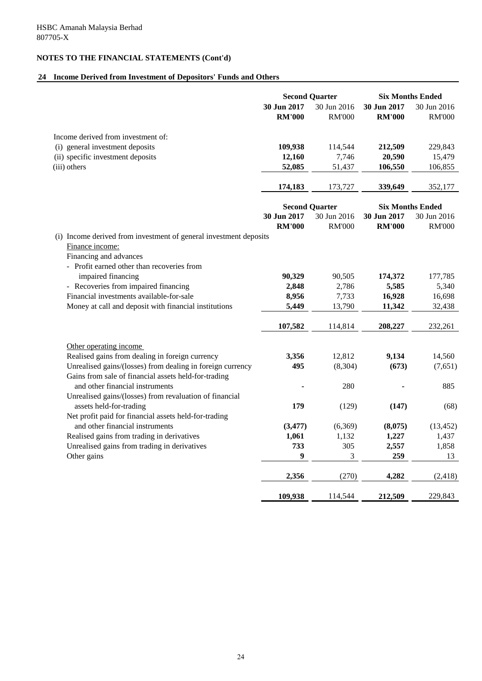# **24 Income Derived from Investment of Depositors' Funds and Others**

|                                                                                                                                                                                                                                                                                                                                 | <b>Second Quarter</b>             |                                    | <b>Six Months Ended</b>              |                                      |
|---------------------------------------------------------------------------------------------------------------------------------------------------------------------------------------------------------------------------------------------------------------------------------------------------------------------------------|-----------------------------------|------------------------------------|--------------------------------------|--------------------------------------|
|                                                                                                                                                                                                                                                                                                                                 | 30 Jun 2017<br><b>RM'000</b>      | 30 Jun 2016<br><b>RM'000</b>       | 30 Jun 2017<br><b>RM'000</b>         | 30 Jun 2016<br><b>RM'000</b>         |
| Income derived from investment of:                                                                                                                                                                                                                                                                                              |                                   |                                    |                                      |                                      |
| (i) general investment deposits                                                                                                                                                                                                                                                                                                 | 109,938                           | 114,544                            | 212,509                              | 229,843                              |
| (ii) specific investment deposits                                                                                                                                                                                                                                                                                               | 12,160                            | 7,746                              | 20,590                               | 15,479                               |
| (iii) others                                                                                                                                                                                                                                                                                                                    | 52,085                            | 51,437                             | 106,550                              | 106,855                              |
|                                                                                                                                                                                                                                                                                                                                 | 174,183                           | 173,727                            | 339,649                              | 352,177                              |
|                                                                                                                                                                                                                                                                                                                                 |                                   | <b>Second Quarter</b>              | <b>Six Months Ended</b>              |                                      |
|                                                                                                                                                                                                                                                                                                                                 | 30 Jun 2017                       | 30 Jun 2016                        | 30 Jun 2017                          | 30 Jun 2016                          |
|                                                                                                                                                                                                                                                                                                                                 | <b>RM'000</b>                     | <b>RM'000</b>                      | <b>RM'000</b>                        | <b>RM'000</b>                        |
| (i) Income derived from investment of general investment deposits<br>Finance income:<br>Financing and advances<br>- Profit earned other than recoveries from<br>impaired financing<br>- Recoveries from impaired financing<br>Financial investments available-for-sale<br>Money at call and deposit with financial institutions | 90,329<br>2,848<br>8,956<br>5,449 | 90,505<br>2,786<br>7,733<br>13,790 | 174,372<br>5,585<br>16,928<br>11,342 | 177,785<br>5,340<br>16,698<br>32,438 |
|                                                                                                                                                                                                                                                                                                                                 | 107,582                           | 114,814                            | 208,227                              | 232,261                              |
| Other operating income                                                                                                                                                                                                                                                                                                          |                                   |                                    |                                      |                                      |
| Realised gains from dealing in foreign currency                                                                                                                                                                                                                                                                                 | 3,356<br>495                      | 12,812                             | 9,134                                | 14,560                               |
| Unrealised gains/(losses) from dealing in foreign currency<br>Gains from sale of financial assets held-for-trading                                                                                                                                                                                                              |                                   | (8, 304)                           | (673)                                | (7,651)                              |
| and other financial instruments<br>Unrealised gains/(losses) from revaluation of financial                                                                                                                                                                                                                                      |                                   | 280                                |                                      | 885                                  |
| assets held-for-trading<br>Net profit paid for financial assets held-for-trading                                                                                                                                                                                                                                                | 179                               | (129)                              | (147)                                | (68)                                 |
| and other financial instruments                                                                                                                                                                                                                                                                                                 | (3, 477)                          | (6,369)                            | (8,075)                              | (13, 452)                            |
| Realised gains from trading in derivatives                                                                                                                                                                                                                                                                                      | 1,061                             | 1,132                              | 1,227                                | 1,437                                |
| Unrealised gains from trading in derivatives                                                                                                                                                                                                                                                                                    | 733                               | 305                                | 2,557                                | 1,858                                |
| Other gains                                                                                                                                                                                                                                                                                                                     | 9                                 | 3                                  | 259                                  | 13                                   |
|                                                                                                                                                                                                                                                                                                                                 | 2,356                             | (270)                              | 4,282                                | (2, 418)                             |
|                                                                                                                                                                                                                                                                                                                                 | 109,938                           | 114,544                            | 212,509                              | 229,843                              |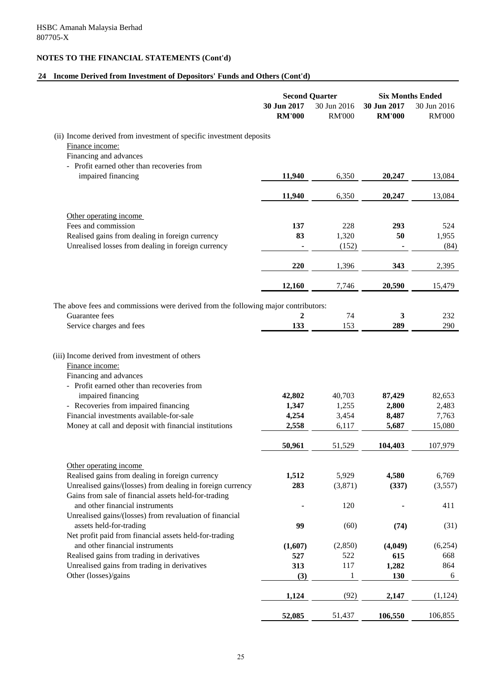# **24 Income Derived from Investment of Depositors' Funds and Others (Cont'd)**

|                                                                                                                                                                                |                              | <b>Second Quarter</b>        | <b>Six Months Ended</b>      |                              |
|--------------------------------------------------------------------------------------------------------------------------------------------------------------------------------|------------------------------|------------------------------|------------------------------|------------------------------|
|                                                                                                                                                                                | 30 Jun 2017<br><b>RM'000</b> | 30 Jun 2016<br><b>RM'000</b> | 30 Jun 2017<br><b>RM'000</b> | 30 Jun 2016<br><b>RM'000</b> |
| (ii) Income derived from investment of specific investment deposits                                                                                                            |                              |                              |                              |                              |
| Finance income:                                                                                                                                                                |                              |                              |                              |                              |
| Financing and advances                                                                                                                                                         |                              |                              |                              |                              |
| - Profit earned other than recoveries from<br>impaired financing                                                                                                               | 11,940                       | 6,350                        | 20,247                       | 13,084                       |
|                                                                                                                                                                                |                              |                              |                              |                              |
|                                                                                                                                                                                | 11,940                       | 6,350                        | 20,247                       | 13,084                       |
| Other operating income                                                                                                                                                         |                              |                              |                              |                              |
| Fees and commission                                                                                                                                                            | 137                          | 228                          | 293                          | 524                          |
| Realised gains from dealing in foreign currency                                                                                                                                | 83                           | 1,320                        | 50                           | 1,955                        |
| Unrealised losses from dealing in foreign currency                                                                                                                             |                              | (152)                        |                              | (84)                         |
|                                                                                                                                                                                | 220                          | 1,396                        | 343                          | 2,395                        |
|                                                                                                                                                                                | 12,160                       | 7,746                        | 20,590                       | 15,479                       |
| The above fees and commissions were derived from the following major contributors:                                                                                             |                              |                              |                              |                              |
| Guarantee fees                                                                                                                                                                 | $\mathbf{2}$                 | 74                           | 3                            | 232                          |
| Service charges and fees                                                                                                                                                       | 133                          | 153                          | 289                          | 290                          |
| Financing and advances<br>- Profit earned other than recoveries from<br>impaired financing<br>- Recoveries from impaired financing<br>Financial investments available-for-sale | 42,802<br>1,347<br>4,254     | 40,703<br>1,255<br>3,454     | 87,429<br>2,800<br>8,487     | 82,653<br>2,483<br>7,763     |
| Money at call and deposit with financial institutions                                                                                                                          | 2,558                        | 6,117                        | 5,687                        | 15,080                       |
|                                                                                                                                                                                | 50,961                       | 51,529                       | 104,403                      | 107,979                      |
| Other operating income                                                                                                                                                         |                              |                              |                              |                              |
| Realised gains from dealing in foreign currency                                                                                                                                | 1,512                        | 5,929                        | 4,580                        | 6,769                        |
| Unrealised gains/(losses) from dealing in foreign currency                                                                                                                     | 283                          | (3,871)                      | (337)                        | (3,557)                      |
| Gains from sale of financial assets held-for-trading                                                                                                                           |                              |                              |                              |                              |
| and other financial instruments<br>Unrealised gains/(losses) from revaluation of financial                                                                                     |                              | 120                          |                              | 411                          |
| assets held-for-trading                                                                                                                                                        | 99                           | (60)                         | (74)                         | (31)                         |
| Net profit paid from financial assets held-for-trading                                                                                                                         |                              |                              |                              |                              |
| and other financial instruments                                                                                                                                                | (1,607)                      | (2, 850)                     | (4,049)                      | (6,254)                      |
| Realised gains from trading in derivatives                                                                                                                                     | 527                          | 522                          | 615                          | 668                          |
| Unrealised gains from trading in derivatives                                                                                                                                   | 313                          | 117                          | 1,282                        | 864                          |
| Other (losses)/gains                                                                                                                                                           | (3)                          | 1                            | 130                          | 6                            |
|                                                                                                                                                                                | 1,124                        | (92)                         | 2,147                        | (1, 124)                     |
|                                                                                                                                                                                | 52,085                       | 51,437                       | 106,550                      | 106,855                      |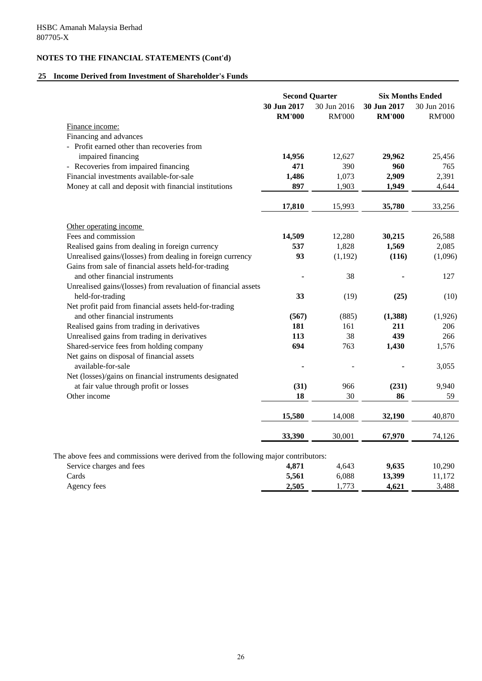## **25 Income Derived from Investment of Shareholder's Funds**

|                                                                                    |                              | <b>Second Quarter</b>        |                              | <b>Six Months Ended</b>      |
|------------------------------------------------------------------------------------|------------------------------|------------------------------|------------------------------|------------------------------|
|                                                                                    | 30 Jun 2017<br><b>RM'000</b> | 30 Jun 2016<br><b>RM'000</b> | 30 Jun 2017<br><b>RM'000</b> | 30 Jun 2016<br><b>RM'000</b> |
| Finance income:                                                                    |                              |                              |                              |                              |
| Financing and advances                                                             |                              |                              |                              |                              |
| - Profit earned other than recoveries from                                         |                              |                              |                              |                              |
| impaired financing                                                                 | 14,956                       | 12,627                       | 29,962                       | 25,456                       |
| - Recoveries from impaired financing                                               | 471                          | 390                          | 960                          | 765                          |
| Financial investments available-for-sale                                           | 1,486                        | 1,073                        | 2,909                        | 2,391                        |
| Money at call and deposit with financial institutions                              | 897                          | 1,903                        | 1,949                        | 4,644                        |
|                                                                                    | 17,810                       | 15,993                       | 35,780                       | 33,256                       |
| Other operating income                                                             |                              |                              |                              |                              |
| Fees and commission                                                                | 14,509                       | 12,280                       | 30,215                       | 26,588                       |
| Realised gains from dealing in foreign currency                                    | 537                          | 1,828                        | 1,569                        | 2,085                        |
| Unrealised gains/(losses) from dealing in foreign currency                         | 93                           | (1, 192)                     | (116)                        | (1,096)                      |
| Gains from sale of financial assets held-for-trading                               |                              |                              |                              |                              |
| and other financial instruments                                                    |                              | 38                           |                              | 127                          |
| Unrealised gains/(losses) from revaluation of financial assets                     |                              |                              |                              |                              |
| held-for-trading                                                                   | 33                           | (19)                         | (25)                         | (10)                         |
| Net profit paid from financial assets held-for-trading                             |                              |                              |                              |                              |
| and other financial instruments                                                    | (567)                        | (885)                        | (1,388)                      | (1,926)                      |
| Realised gains from trading in derivatives                                         | 181                          | 161                          | 211                          | 206                          |
| Unrealised gains from trading in derivatives                                       | 113                          | 38                           | 439                          | 266                          |
| Shared-service fees from holding company                                           | 694                          | 763                          | 1,430                        | 1,576                        |
| Net gains on disposal of financial assets                                          |                              |                              |                              |                              |
| available-for-sale                                                                 |                              |                              |                              | 3,055                        |
| Net (losses)/gains on financial instruments designated                             |                              |                              |                              |                              |
| at fair value through profit or losses                                             | (31)                         | 966                          | (231)                        | 9,940                        |
| Other income                                                                       | 18                           | 30                           | 86                           | 59                           |
|                                                                                    | 15,580                       | 14,008                       | 32,190                       | 40,870                       |
|                                                                                    | 33,390                       | 30,001                       | 67,970                       | 74,126                       |
| The above fees and commissions were derived from the following major contributors: |                              |                              |                              |                              |
| Service charges and fees                                                           | 4,871                        | 4,643                        | 9,635                        | 10,290                       |
| Cards                                                                              | 5,561                        | 6,088                        | 13,399                       | 11,172                       |
| Agency fees                                                                        | 2,505                        | 1,773                        | 4,621                        | 3,488                        |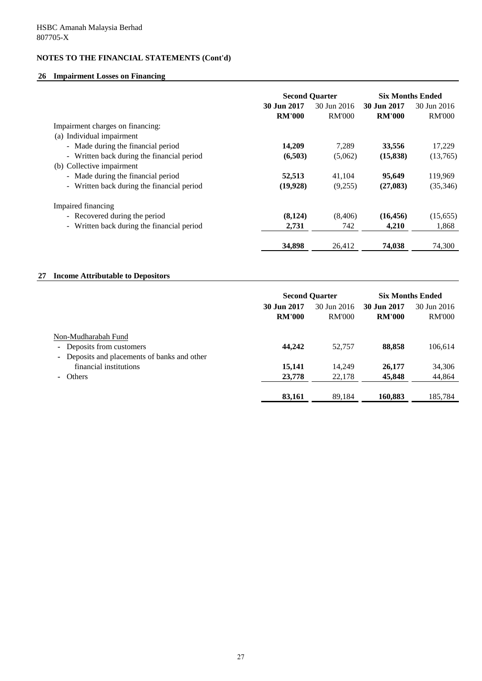## **26 Impairment Losses on Financing**

|                                            | <b>Second Quarter</b> |               | <b>Six Months Ended</b> |               |
|--------------------------------------------|-----------------------|---------------|-------------------------|---------------|
|                                            | 30 Jun 2017           | 30 Jun 2016   | 30 Jun 2017             | 30 Jun 2016   |
|                                            | <b>RM'000</b>         | <b>RM'000</b> | <b>RM'000</b>           | <b>RM'000</b> |
| Impairment charges on financing:           |                       |               |                         |               |
| (a) Individual impairment                  |                       |               |                         |               |
| - Made during the financial period         | 14,209                | 7.289         | 33,556                  | 17,229        |
| - Written back during the financial period | (6,503)               | (5,062)       | (15, 838)               | (13,765)      |
| (b) Collective impairment                  |                       |               |                         |               |
| - Made during the financial period         | 52,513                | 41.104        | 95,649                  | 119,969       |
| - Written back during the financial period | (19,928)              | (9,255)       | (27,083)                | (35,346)      |
| Impaired financing                         |                       |               |                         |               |
| - Recovered during the period              | (8,124)               | (8,406)       | (16, 456)               | (15,655)      |
| - Written back during the financial period | 2,731                 | 742           | 4,210                   | 1,868         |
|                                            | 34,898                | 26.412        | 74,038                  | 74,300        |

## **27 Income Attributable to Depositors**

|                                                                                                  | <b>Second Quarter</b>        |                              | <b>Six Months Ended</b>      |                              |
|--------------------------------------------------------------------------------------------------|------------------------------|------------------------------|------------------------------|------------------------------|
|                                                                                                  | 30 Jun 2017<br><b>RM'000</b> | 30 Jun 2016<br><b>RM'000</b> | 30 Jun 2017<br><b>RM'000</b> | 30 Jun 2016<br><b>RM'000</b> |
| Non-Mudharabah Fund<br>- Deposits from customers<br>- Deposits and placements of banks and other | 44,242                       | 52,757                       | 88,858                       | 106,614                      |
| financial institutions<br>- Others                                                               | 15,141<br>23,778             | 14,249<br>22,178             | 26,177<br>45,848             | 34,306<br>44,864             |
|                                                                                                  | 83,161                       | 89,184                       | 160.883                      | 185,784                      |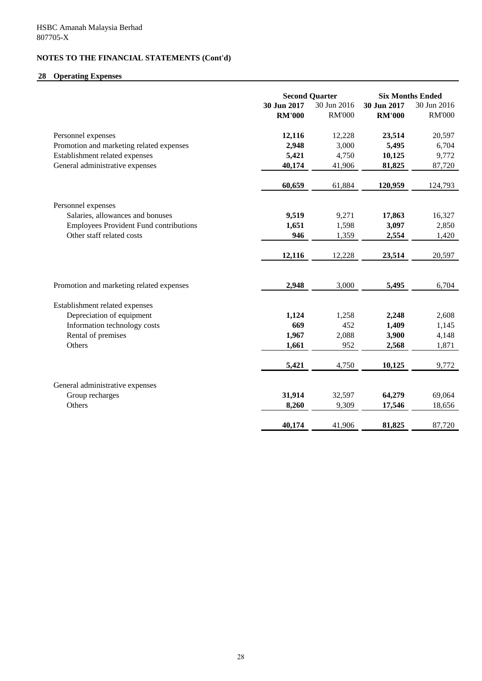# **28 Operating Expenses**

|                                               | <b>Second Quarter</b> |               | <b>Six Months Ended</b> |               |
|-----------------------------------------------|-----------------------|---------------|-------------------------|---------------|
|                                               | 30 Jun 2017           | 30 Jun 2016   | 30 Jun 2017             | 30 Jun 2016   |
|                                               | <b>RM'000</b>         | <b>RM'000</b> | <b>RM'000</b>           | <b>RM'000</b> |
| Personnel expenses                            | 12,116                | 12,228        | 23,514                  | 20,597        |
| Promotion and marketing related expenses      | 2,948                 | 3,000         | 5,495                   | 6,704         |
| Establishment related expenses                | 5,421                 | 4,750         | 10,125                  | 9,772         |
| General administrative expenses               | 40,174                | 41,906        | 81,825                  | 87,720        |
|                                               | 60,659                | 61,884        | 120,959                 | 124,793       |
| Personnel expenses                            |                       |               |                         |               |
| Salaries, allowances and bonuses              | 9,519                 | 9,271         | 17,863                  | 16,327        |
| <b>Employees Provident Fund contributions</b> | 1,651                 | 1,598         | 3,097                   | 2,850         |
| Other staff related costs                     | 946                   | 1,359         | 2,554                   | 1,420         |
|                                               | 12,116                | 12,228        | 23,514                  | 20,597        |
| Promotion and marketing related expenses      | 2,948                 | 3,000         | 5,495                   | 6,704         |
|                                               |                       |               |                         |               |
| Establishment related expenses                |                       |               |                         |               |
| Depreciation of equipment                     | 1,124                 | 1,258         | 2,248                   | 2,608         |
| Information technology costs                  | 669                   | 452           | 1,409                   | 1,145         |
| Rental of premises                            | 1,967                 | 2,088         | 3,900                   | 4,148         |
| Others                                        | 1,661                 | 952           | 2,568                   | 1,871         |
|                                               | 5,421                 | 4,750         | 10,125                  | 9,772         |
| General administrative expenses               |                       |               |                         |               |
| Group recharges                               | 31,914                | 32,597        | 64,279                  | 69,064        |
| Others                                        | 8,260                 | 9,309         | 17,546                  | 18,656        |
|                                               | 40,174                | 41,906        | 81,825                  | 87,720        |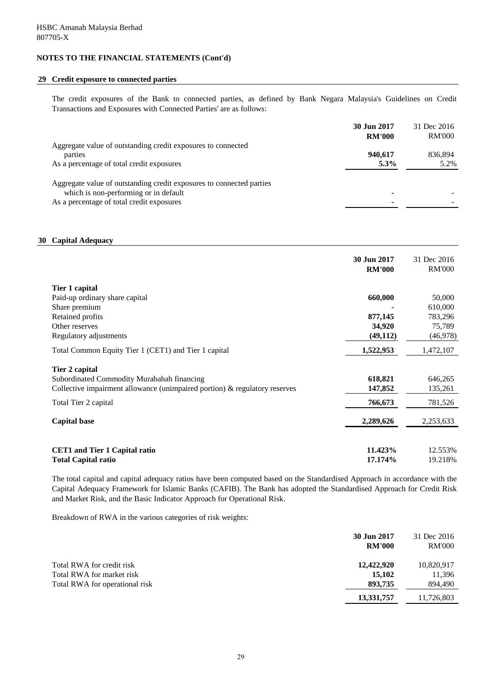### **29 Credit exposure to connected parties**

The credit exposures of the Bank to connected parties, as defined by Bank Negara Malaysia's Guidelines on Credit Transactions and Exposures with Connected Parties' are as follows:

|                                                                      | 30 Jun 2017   | 31 Dec 2016   |
|----------------------------------------------------------------------|---------------|---------------|
|                                                                      | <b>RM'000</b> | <b>RM'000</b> |
| Aggregate value of outstanding credit exposures to connected         |               |               |
| parties                                                              | 940.617       | 836.894       |
| As a percentage of total credit exposures                            | $5.3\%$       | 5.2%          |
|                                                                      |               |               |
| Aggregate value of outstanding credit exposures to connected parties |               |               |
| which is non-performing or in default                                |               |               |
| As a percentage of total credit exposures                            |               |               |

## **30 Capital Adequacy**

|                                                                               | 30 Jun 2017<br><b>RM'000</b> | 31 Dec 2016<br><b>RM'000</b> |
|-------------------------------------------------------------------------------|------------------------------|------------------------------|
| Tier 1 capital                                                                |                              |                              |
| Paid-up ordinary share capital                                                | 660,000                      | 50,000                       |
| Share premium                                                                 |                              | 610,000                      |
| Retained profits                                                              | 877,145                      | 783,296                      |
| Other reserves                                                                | 34,920                       | 75,789                       |
| Regulatory adjustments                                                        | (49, 112)                    | (46,978)                     |
| Total Common Equity Tier 1 (CET1) and Tier 1 capital                          | 1,522,953                    | 1,472,107                    |
| Tier 2 capital                                                                |                              |                              |
| Subordinated Commodity Murabahah financing                                    | 618,821                      | 646,265                      |
| Collective impairment allowance (unimpaired portion) $\&$ regulatory reserves | 147,852                      | 135,261                      |
| Total Tier 2 capital                                                          | 766,673                      | 781,526                      |
| <b>Capital base</b>                                                           | 2,289,626                    | 2,253,633                    |
|                                                                               |                              |                              |
| <b>CET1</b> and Tier 1 Capital ratio                                          | 11.423%                      | 12.553%                      |
| <b>Total Capital ratio</b>                                                    | 17.174%                      | 19.218%                      |

The total capital and capital adequacy ratios have been computed based on the Standardised Approach in accordance with the Capital Adequacy Framework for Islamic Banks (CAFIB). The Bank has adopted the Standardised Approach for Credit Risk and Market Risk, and the Basic Indicator Approach for Operational Risk.

Breakdown of RWA in the various categories of risk weights:

|                                                                                          | 30 Jun 2017<br><b>RM'000</b>    | 31 Dec 2016<br><b>RM'000</b>    |
|------------------------------------------------------------------------------------------|---------------------------------|---------------------------------|
| Total RWA for credit risk<br>Total RWA for market risk<br>Total RWA for operational risk | 12,422,920<br>15,102<br>893,735 | 10,820,917<br>11,396<br>894,490 |
|                                                                                          | 13,331,757                      | 11,726,803                      |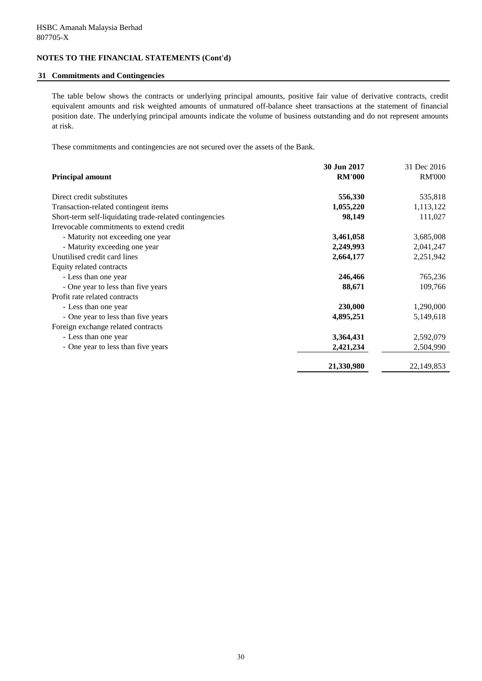### **31 Commitments and Contingencies**

The table below shows the contracts or underlying principal amounts, positive fair value of derivative contracts, credit equivalent amounts and risk weighted amounts of unmatured off-balance sheet transactions at the statement of financial position date. The underlying principal amounts indicate the volume of business outstanding and do not represent amounts at risk.

These commitments and contingencies are not secured over the assets of the Bank.

|                                                         | 30 Jun 2017   | 31 Dec 2016   |
|---------------------------------------------------------|---------------|---------------|
| <b>Principal amount</b>                                 | <b>RM'000</b> | <b>RM'000</b> |
| Direct credit substitutes                               | 556,330       | 535,818       |
| Transaction-related contingent items                    | 1,055,220     | 1,113,122     |
| Short-term self-liquidating trade-related contingencies | 98,149        | 111,027       |
| Irrevocable commitments to extend credit                |               |               |
| - Maturity not exceeding one year                       | 3,461,058     | 3,685,008     |
| - Maturity exceeding one year                           | 2,249,993     | 2,041,247     |
| Unutilised credit card lines                            | 2,664,177     | 2,251,942     |
| Equity related contracts                                |               |               |
| - Less than one year                                    | 246,466       | 765,236       |
| - One year to less than five years                      | 88,671        | 109,766       |
| Profit rate related contracts                           |               |               |
| - Less than one year                                    | 230,000       | 1,290,000     |
| - One year to less than five years                      | 4,895,251     | 5,149,618     |
| Foreign exchange related contracts                      |               |               |
| - Less than one year                                    | 3,364,431     | 2,592,079     |
| - One year to less than five years                      | 2,421,234     | 2,504,990     |
|                                                         | 21,330,980    | 22, 149, 853  |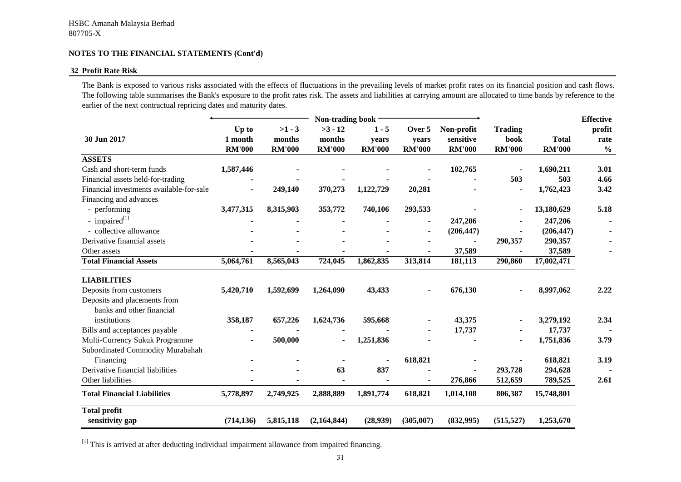### **32 Profit Rate Risk**

The Bank is exposed to various risks associated with the effects of fluctuations in the prevailing levels of market profit rates on its financial position and cash flows. The following table summarises the Bank's exposure to the profit rates risk. The assets and liabilities at carrying amount are allocated to time bands by reference to the earlier of the next contractual repricing dates and maturity dates.

|                                          |               |               | Non-trading book |               |               |               |                |               | <b>Effective</b> |
|------------------------------------------|---------------|---------------|------------------|---------------|---------------|---------------|----------------|---------------|------------------|
|                                          | Up to         | $>1 - 3$      | $>3 - 12$        | $1 - 5$       | Over 5        | Non-profit    | <b>Trading</b> |               | profit           |
| 30 Jun 2017                              | 1 month       | months        | months           | years         | years         | sensitive     | book           | <b>Total</b>  | rate             |
|                                          | <b>RM'000</b> | <b>RM'000</b> | <b>RM'000</b>    | <b>RM'000</b> | <b>RM'000</b> | <b>RM'000</b> | <b>RM'000</b>  | <b>RM'000</b> | $\frac{0}{0}$    |
| <b>ASSETS</b>                            |               |               |                  |               |               |               |                |               |                  |
| Cash and short-term funds                | 1,587,446     |               |                  |               |               | 102,765       |                | 1,690,211     | 3.01             |
| Financial assets held-for-trading        |               |               |                  |               |               |               | 503            | 503           | 4.66             |
| Financial investments available-for-sale |               | 249,140       | 370,273          | 1,122,729     | 20,281        |               |                | 1,762,423     | 3.42             |
| Financing and advances                   |               |               |                  |               |               |               |                |               |                  |
| - performing                             | 3,477,315     | 8,315,903     | 353,772          | 740,106       | 293,533       |               |                | 13,180,629    | 5.18             |
| - impaired $^{[1]}$                      |               |               |                  |               |               | 247,206       |                | 247,206       |                  |
| - collective allowance                   |               |               |                  |               |               | (206, 447)    |                | (206, 447)    |                  |
| Derivative financial assets              |               |               |                  |               |               |               | 290,357        | 290,357       |                  |
| Other assets                             |               |               |                  |               |               | 37,589        |                | 37,589        |                  |
| <b>Total Financial Assets</b>            | 5,064,761     | 8,565,043     | 724,045          | 1,862,835     | 313,814       | 181,113       | 290,860        | 17,002,471    |                  |
| <b>LIABILITIES</b>                       |               |               |                  |               |               |               |                |               |                  |
| Deposits from customers                  | 5,420,710     | 1,592,699     | 1,264,090        | 43,433        |               | 676,130       |                | 8,997,062     | 2.22             |
| Deposits and placements from             |               |               |                  |               |               |               |                |               |                  |
| banks and other financial                |               |               |                  |               |               |               |                |               |                  |
| institutions                             | 358,187       | 657,226       | 1,624,736        | 595,668       |               | 43,375        |                | 3,279,192     | 2.34             |
| Bills and acceptances payable            |               |               |                  |               |               | 17,737        |                | 17,737        |                  |
| Multi-Currency Sukuk Programme           |               | 500,000       |                  | 1,251,836     |               |               |                | 1,751,836     | 3.79             |
| Subordinated Commodity Murabahah         |               |               |                  |               |               |               |                |               |                  |
| Financing                                |               |               |                  |               | 618,821       |               |                | 618,821       | 3.19             |
| Derivative financial liabilities         |               |               | 63               | 837           |               |               | 293,728        | 294,628       |                  |
| Other liabilities                        |               |               |                  |               |               | 276,866       | 512,659        | 789,525       | 2.61             |
| <b>Total Financial Liabilities</b>       | 5,778,897     | 2,749,925     | 2,888,889        | 1,891,774     | 618,821       | 1,014,108     | 806,387        | 15,748,801    |                  |
| <b>Total profit</b>                      |               |               |                  |               |               |               |                |               |                  |
| sensitivity gap                          | (714, 136)    | 5,815,118     | (2,164,844)      | (28,939)      | (305,007)     | (832,995)     | (515, 527)     | 1,253,670     |                  |

 $[1]$  This is arrived at after deducting individual impairment allowance from impaired financing.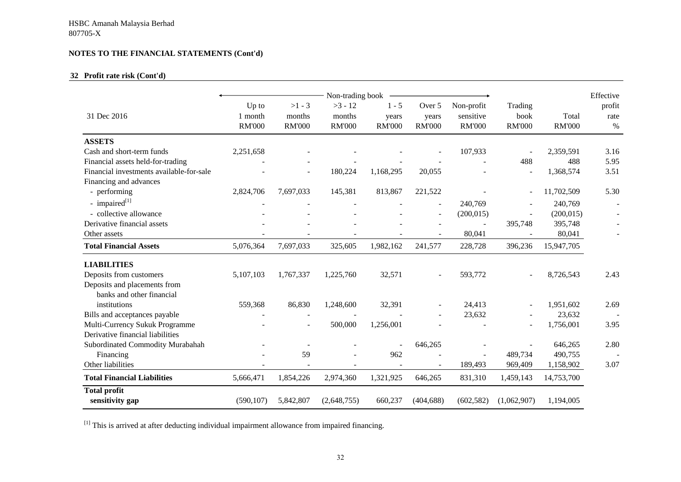## **32 Profit rate risk (Cont'd)**

|                                          | Non-trading book                  |                                     |                                      |                                   |                                  |                                          |                                  |                        |                        |
|------------------------------------------|-----------------------------------|-------------------------------------|--------------------------------------|-----------------------------------|----------------------------------|------------------------------------------|----------------------------------|------------------------|------------------------|
| 31 Dec 2016                              | Up to<br>1 month<br><b>RM'000</b> | $>1 - 3$<br>months<br><b>RM'000</b> | $>3 - 12$<br>months<br><b>RM'000</b> | $1 - 5$<br>years<br><b>RM'000</b> | Over 5<br>years<br><b>RM'000</b> | Non-profit<br>sensitive<br><b>RM'000</b> | Trading<br>book<br><b>RM'000</b> | Total<br><b>RM'000</b> | profit<br>rate<br>$\%$ |
| <b>ASSETS</b>                            |                                   |                                     |                                      |                                   |                                  |                                          |                                  |                        |                        |
| Cash and short-term funds                | 2,251,658                         |                                     |                                      |                                   |                                  | 107,933                                  |                                  | 2,359,591              | 3.16                   |
| Financial assets held-for-trading        |                                   |                                     |                                      |                                   |                                  |                                          | 488                              | 488                    | 5.95                   |
| Financial investments available-for-sale |                                   |                                     | 180,224                              | 1,168,295                         | 20,055                           |                                          |                                  | 1,368,574              | 3.51                   |
| Financing and advances                   |                                   |                                     |                                      |                                   |                                  |                                          |                                  |                        |                        |
| - performing                             | 2,824,706                         | 7,697,033                           | 145,381                              | 813,867                           | 221,522                          |                                          |                                  | 11,702,509             | 5.30                   |
| - impaired $^{[1]}$                      |                                   |                                     |                                      |                                   | $\sim$                           | 240,769                                  |                                  | 240,769                |                        |
| - collective allowance                   |                                   |                                     |                                      |                                   | $\sim$                           | (200, 015)                               |                                  | (200, 015)             |                        |
| Derivative financial assets              |                                   |                                     |                                      |                                   |                                  | $\overline{\phantom{a}}$                 | 395,748                          | 395,748                |                        |
| Other assets                             | $\overline{\phantom{a}}$          | $\overline{\phantom{a}}$            | $\blacksquare$                       |                                   | $\sim$                           | 80,041                                   |                                  | 80,041                 |                        |
| <b>Total Financial Assets</b>            | 5,076,364                         | 7,697,033                           | 325,605                              | 1,982,162                         | 241,577                          | 228,728                                  | 396,236                          | 15,947,705             |                        |
| <b>LIABILITIES</b>                       |                                   |                                     |                                      |                                   |                                  |                                          |                                  |                        |                        |
| Deposits from customers                  | 5,107,103                         | 1,767,337                           | 1,225,760                            | 32,571                            |                                  | 593,772                                  |                                  | 8,726,543              | 2.43                   |
| Deposits and placements from             |                                   |                                     |                                      |                                   |                                  |                                          |                                  |                        |                        |
| banks and other financial                |                                   |                                     |                                      |                                   |                                  |                                          |                                  |                        |                        |
| institutions                             | 559,368                           | 86,830                              | 1,248,600                            | 32,391                            |                                  | 24,413                                   |                                  | 1,951,602              | 2.69                   |
| Bills and acceptances payable            |                                   |                                     |                                      |                                   |                                  | 23,632                                   |                                  | 23,632                 |                        |
| Multi-Currency Sukuk Programme           |                                   |                                     | 500,000                              | 1,256,001                         |                                  |                                          |                                  | 1,756,001              | 3.95                   |
| Derivative financial liabilities         |                                   |                                     |                                      |                                   |                                  |                                          |                                  |                        |                        |
| Subordinated Commodity Murabahah         |                                   |                                     |                                      |                                   | 646,265                          |                                          |                                  | 646,265                | 2.80                   |
| Financing                                |                                   | 59                                  |                                      | 962                               |                                  |                                          | 489,734                          | 490,755                |                        |
| Other liabilities                        |                                   |                                     |                                      |                                   |                                  | 189,493                                  | 969,409                          | 1,158,902              | 3.07                   |
| <b>Total Financial Liabilities</b>       | 5,666,471                         | 1,854,226                           | 2,974,360                            | 1,321,925                         | 646,265                          | 831,310                                  | 1,459,143                        | 14,753,700             |                        |
| <b>Total profit</b><br>sensitivity gap   | (590, 107)                        | 5,842,807                           | (2,648,755)                          | 660,237                           | (404, 688)                       | (602, 582)                               | (1,062,907)                      | 1,194,005              |                        |

 $[1]$  This is arrived at after deducting individual impairment allowance from impaired financing.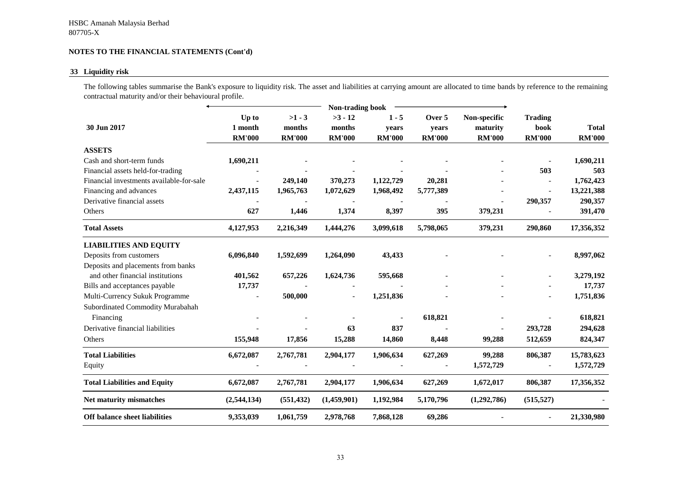## **33 Liquidity risk**

The following tables summarise the Bank's exposure to liquidity risk. The asset and liabilities at carrying amount are allocated to time bands by reference to the remaining contractual maturity and/or their behavioural profile.

|                                          | Non-trading book |               |               |               |               |               |                          |               |
|------------------------------------------|------------------|---------------|---------------|---------------|---------------|---------------|--------------------------|---------------|
|                                          | Up to            | $>1 - 3$      | $>3 - 12$     | $1 - 5$       | Over 5        | Non-specific  | <b>Trading</b>           |               |
| 30 Jun 2017                              | 1 month          | months        | months        | years         | years         | maturity      | book                     | <b>Total</b>  |
|                                          | <b>RM'000</b>    | <b>RM'000</b> | <b>RM'000</b> | <b>RM'000</b> | <b>RM'000</b> | <b>RM'000</b> | <b>RM'000</b>            | <b>RM'000</b> |
| <b>ASSETS</b>                            |                  |               |               |               |               |               |                          |               |
| Cash and short-term funds                | 1,690,211        |               |               |               |               |               |                          | 1,690,211     |
| Financial assets held-for-trading        |                  |               |               |               |               |               | 503                      | 503           |
| Financial investments available-for-sale |                  | 249,140       | 370,273       | 1,122,729     | 20,281        |               |                          | 1,762,423     |
| Financing and advances                   | 2,437,115        | 1,965,763     | 1,072,629     | 1,968,492     | 5,777,389     |               | $\overline{\phantom{a}}$ | 13,221,388    |
| Derivative financial assets              |                  |               |               |               |               |               | 290,357                  | 290,357       |
| Others                                   | 627              | 1,446         | 1,374         | 8,397         | 395           | 379,231       |                          | 391,470       |
| <b>Total Assets</b>                      | 4,127,953        | 2,216,349     | 1,444,276     | 3,099,618     | 5,798,065     | 379,231       | 290,860                  | 17,356,352    |
| <b>LIABILITIES AND EQUITY</b>            |                  |               |               |               |               |               |                          |               |
| Deposits from customers                  | 6,096,840        | 1,592,699     | 1,264,090     | 43,433        |               |               |                          | 8,997,062     |
| Deposits and placements from banks       |                  |               |               |               |               |               |                          |               |
| and other financial institutions         | 401,562          | 657,226       | 1,624,736     | 595,668       |               |               |                          | 3,279,192     |
| Bills and acceptances payable            | 17,737           |               |               |               |               |               |                          | 17,737        |
| Multi-Currency Sukuk Programme           |                  | 500,000       |               | 1,251,836     |               |               |                          | 1,751,836     |
| Subordinated Commodity Murabahah         |                  |               |               |               |               |               |                          |               |
| Financing                                |                  |               |               |               | 618,821       |               |                          | 618,821       |
| Derivative financial liabilities         |                  |               | 63            | 837           |               |               | 293,728                  | 294,628       |
| Others                                   | 155,948          | 17,856        | 15,288        | 14,860        | 8,448         | 99,288        | 512,659                  | 824,347       |
| <b>Total Liabilities</b>                 | 6,672,087        | 2,767,781     | 2,904,177     | 1,906,634     | 627,269       | 99,288        | 806,387                  | 15,783,623    |
| Equity                                   |                  |               |               |               |               | 1,572,729     |                          | 1,572,729     |
| <b>Total Liabilities and Equity</b>      | 6,672,087        | 2,767,781     | 2,904,177     | 1,906,634     | 627,269       | 1,672,017     | 806,387                  | 17,356,352    |
| Net maturity mismatches                  | (2,544,134)      | (551, 432)    | (1,459,901)   | 1,192,984     | 5,170,796     | (1,292,786)   | (515, 527)               |               |
| Off balance sheet liabilities            | 9,353,039        | 1,061,759     | 2,978,768     | 7,868,128     | 69,286        |               |                          | 21,330,980    |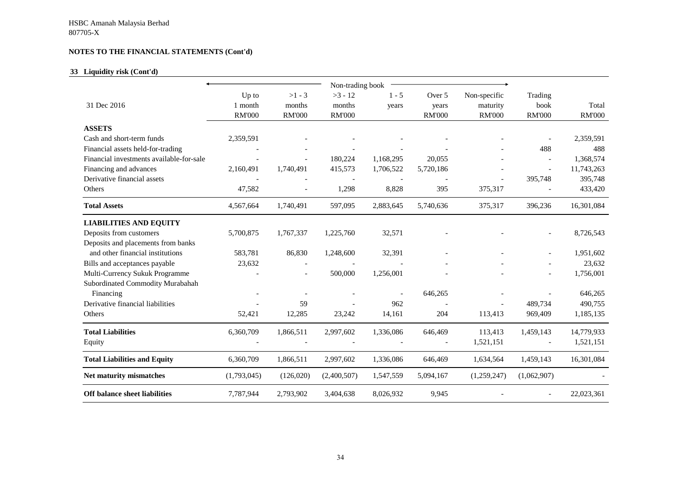## **33 Liquidity risk (Cont'd)**

|                                          |               |                          | Non-trading book |           |               |               |                |               |
|------------------------------------------|---------------|--------------------------|------------------|-----------|---------------|---------------|----------------|---------------|
|                                          | Up to         | $>1 - 3$                 | $>3 - 12$        | $1 - 5$   | Over 5        | Non-specific  | Trading        |               |
| 31 Dec 2016                              | 1 month       | months                   | months           | years     | years         | maturity      | book           | Total         |
|                                          | <b>RM'000</b> | <b>RM'000</b>            | <b>RM'000</b>    |           | <b>RM'000</b> | <b>RM'000</b> | <b>RM'000</b>  | <b>RM'000</b> |
| <b>ASSETS</b>                            |               |                          |                  |           |               |               |                |               |
| Cash and short-term funds                | 2,359,591     |                          |                  |           |               |               |                | 2,359,591     |
| Financial assets held-for-trading        |               |                          |                  |           |               |               | 488            | 488           |
| Financial investments available-for-sale |               |                          | 180,224          | 1,168,295 | 20,055        |               | $\overline{a}$ | 1,368,574     |
| Financing and advances                   | 2,160,491     | 1,740,491                | 415,573          | 1,706,522 | 5,720,186     |               | $\overline{a}$ | 11,743,263    |
| Derivative financial assets              |               |                          |                  |           |               |               | 395,748        | 395,748       |
| Others                                   | 47,582        |                          | 1,298            | 8,828     | 395           | 375,317       |                | 433,420       |
| <b>Total Assets</b>                      | 4,567,664     | 1,740,491                | 597,095          | 2,883,645 | 5,740,636     | 375,317       | 396,236        | 16,301,084    |
| <b>LIABILITIES AND EQUITY</b>            |               |                          |                  |           |               |               |                |               |
| Deposits from customers                  | 5,700,875     | 1,767,337                | 1,225,760        | 32,571    |               |               |                | 8,726,543     |
| Deposits and placements from banks       |               |                          |                  |           |               |               |                |               |
| and other financial institutions         | 583,781       | 86,830                   | 1,248,600        | 32,391    |               |               |                | 1,951,602     |
| Bills and acceptances payable            | 23,632        |                          |                  |           |               |               |                | 23,632        |
| Multi-Currency Sukuk Programme           |               | $\overline{\phantom{a}}$ | 500,000          | 1,256,001 |               |               |                | 1,756,001     |
| Subordinated Commodity Murabahah         |               |                          |                  |           |               |               |                |               |
| Financing                                |               |                          |                  |           | 646,265       |               |                | 646,265       |
| Derivative financial liabilities         |               | 59                       |                  | 962       |               |               | 489,734        | 490,755       |
| Others                                   | 52,421        | 12,285                   | 23,242           | 14,161    | 204           | 113,413       | 969,409        | 1,185,135     |
| <b>Total Liabilities</b>                 | 6,360,709     | 1,866,511                | 2,997,602        | 1,336,086 | 646,469       | 113,413       | 1,459,143      | 14,779,933    |
| Equity                                   |               |                          |                  |           |               | 1,521,151     | $\overline{a}$ | 1,521,151     |
| <b>Total Liabilities and Equity</b>      | 6,360,709     | 1,866,511                | 2,997,602        | 1,336,086 | 646,469       | 1,634,564     | 1,459,143      | 16,301,084    |
| Net maturity mismatches                  | (1,793,045)   | (126, 020)               | (2,400,507)      | 1,547,559 | 5,094,167     | (1,259,247)   | (1,062,907)    |               |
| Off balance sheet liabilities            | 7,787,944     | 2,793,902                | 3,404,638        | 8,026,932 | 9,945         |               | $\overline{a}$ | 22,023,361    |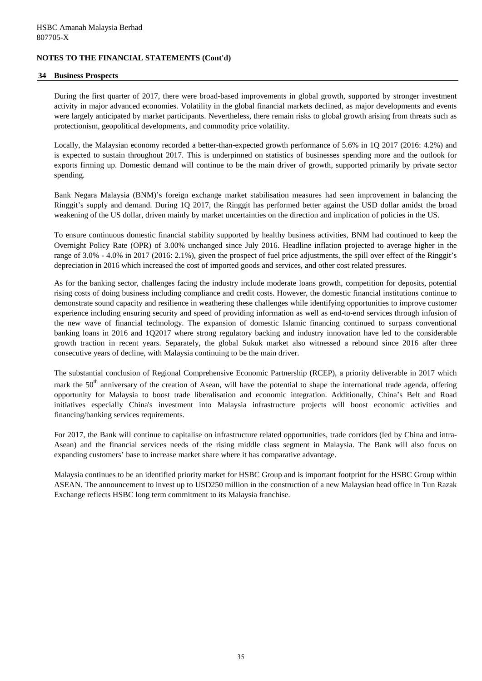#### **34 Business Prospects**

During the first quarter of 2017, there were broad-based improvements in global growth, supported by stronger investment activity in major advanced economies. Volatility in the global financial markets declined, as major developments and events were largely anticipated by market participants. Nevertheless, there remain risks to global growth arising from threats such as protectionism, geopolitical developments, and commodity price volatility.

Locally, the Malaysian economy recorded a better-than-expected growth performance of 5.6% in 1Q 2017 (2016: 4.2%) and is expected to sustain throughout 2017. This is underpinned on statistics of businesses spending more and the outlook for exports firming up. Domestic demand will continue to be the main driver of growth, supported primarily by private sector spending.

Bank Negara Malaysia (BNM)'s foreign exchange market stabilisation measures had seen improvement in balancing the Ringgit's supply and demand. During 1Q 2017, the Ringgit has performed better against the USD dollar amidst the broad weakening of the US dollar, driven mainly by market uncertainties on the direction and implication of policies in the US.

To ensure continuous domestic financial stability supported by healthy business activities, BNM had continued to keep the Overnight Policy Rate (OPR) of 3.00% unchanged since July 2016. Headline inflation projected to average higher in the range of 3.0% - 4.0% in 2017 (2016: 2.1%), given the prospect of fuel price adjustments, the spill over effect of the Ringgit's depreciation in 2016 which increased the cost of imported goods and services, and other cost related pressures.

As for the banking sector, challenges facing the industry include moderate loans growth, competition for deposits, potential rising costs of doing business including compliance and credit costs. However, the domestic financial institutions continue to demonstrate sound capacity and resilience in weathering these challenges while identifying opportunities to improve customer experience including ensuring security and speed of providing information as well as end-to-end services through infusion of the new wave of financial technology. The expansion of domestic Islamic financing continued to surpass conventional banking loans in 2016 and 1Q2017 where strong regulatory backing and industry innovation have led to the considerable growth traction in recent years. Separately, the global Sukuk market also witnessed a rebound since 2016 after three consecutive years of decline, with Malaysia continuing to be the main driver.

The substantial conclusion of Regional Comprehensive Economic Partnership (RCEP), a priority deliverable in 2017 which mark the 50<sup>th</sup> anniversary of the creation of Asean, will have the potential to shape the international trade agenda, offering opportunity for Malaysia to boost trade liberalisation and economic integration. Additionally, China's Belt and Road initiatives especially China's investment into Malaysia infrastructure projects will boost economic activities and financing/banking services requirements.

For 2017, the Bank will continue to capitalise on infrastructure related opportunities, trade corridors (led by China and intra-Asean) and the financial services needs of the rising middle class segment in Malaysia. The Bank will also focus on expanding customers' base to increase market share where it has comparative advantage.

Malaysia continues to be an identified priority market for HSBC Group and is important footprint for the HSBC Group within ASEAN. The announcement to invest up to USD250 million in the construction of a new Malaysian head office in Tun Razak Exchange reflects HSBC long term commitment to its Malaysia franchise.